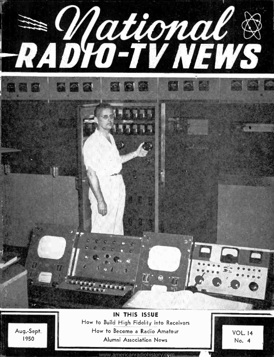

<www.americanradiohistory.com>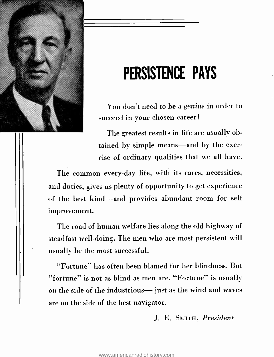

# PERSISTENCE PAYS

You don't need to be a genius in order to succeed in your chosen career!

The greatest results in life are usually obtained by simple means—and by the exercise of ordinary qualities that we all have.

The common every-day life, with its cares, necessities, and duties, gives us plenty of opportunity to get experience of the best kind-and provides abundant room for self improvement.

The road of human welfare lies along the old highway of steadfast well-doing. The men who are most persistent will usually be the most successful.

"Fortune" has often been blamed for her blindness. But "fortune" is not as blind as men are. "Fortune" is usually on the side of the industrious- just as the wind and waves are on the side of the best navigator.

J. E. SMITH, President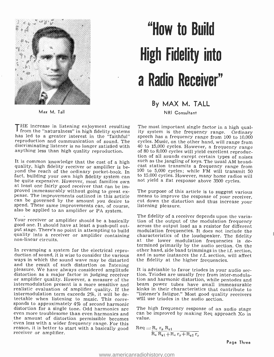

Max M. Tall

# "How to Build High Fidelity into a Radio Receiver"

THE increase in listening enjoyment resulting The most important single factor in a high qual-<br>from the "naturalness" in high fidelity systems ity system is the frequency range. Ordinary<br>has led to a greater interest in th reproduction and communication of sound. The cycles. Music, on the other hand, will range from discriminating listener is no longer satisfied with 40 to 15,000 cycles. However, a frequency range discriminating listener is no longer satisfied with

It is common knowledge that the cost of a high quality, high fidelity receiver or amplifier is befact, building your own high fidelity system can<br>be quite expensive. However, most families own<br>at least one fairly good receiver that can be im-<br>proved immeasurably without going to great ex-<br>pense. The improvements outli

Your receiver or amplifier should be a basically good one. It should have at least a push -pull output stage. There's no point in attempting to build quality into a receiver or amplifier containing non -linear circuits.

ways in which the sound wave may be distorted<br>and the result of such distortion on fistening pleasure. We have always considered amplitude It is advisable to favor triodes in your audio sec-<br>distortion as a major factor in judging receiver ion. Triodes are usually free from inter-modula-<br>or amplifier quality. Howe realistic evaluation of amplifier quality. If the intermodulation term exceeds  $2\%$ , it will be detectable when listening to music. This corresponds to approximately  $4\%$  of second harmonic<br>distortion for a single tone. Odd harmonics are The high frequency response of an audio stage distortion for a single tone. Odd harmonics are even more troublesome than even harmonics and the amount of distortion permissible becomes even less with a wider frequency range. For this reason, it is better to start with a basically good receiver or amplifier.

# By MAX M. TALL

NRI Consultant

anything less than high quality reproduction. of 80 to 8,000 cycles will yield excellent reproduction of all sounds except certain types of noises cycles. Music, on the other hand, will range from of 80 to 8,000 cycles will yield excellent reproducsuch as the jangling of keys. The usual AM broadcast station transmits a frequency range from 100 to 5,000 cycles; while FM will transmit 50 to 15,000 cycles. However, many home radios will not yield a flat response above 3500 cycles.

The purpose of this article is to suggest various means to improve the response of your receiver, cut down the distortion and thus increase your listening pleasure.

In revamping a system for the electrical repro-<br>duction of sound, it is wise to consider the various and in some instances the r.f. section, will affect The fidelity of a receiver depends upon the varia-<br>tion of the output of the modulation frequency across the output load as a resistor for different modulation frequencies. It does not include the at the lower modulation frequencies is determined primarily by the audio section. On the and in some instances the r.f. section, will affect the fidelity at the higher frequencies.

> It is advisable to favor triodes in your audio section and harmonic distortion, while pentodes and beam power tubes have small immeasurable kinks in their characteristics that contribute to "listener's fatigue." Most good quality receivers will use triodes in the audio section.

> can be improved by making Req approach Xo in value.

$$
\text{Req} \mathop{=} \frac{R_c \; r_p \; R_{g1}}{\tilde{R}_e \; R_{g1} + R_c \; r_p + R_{g1} \, r_p}
$$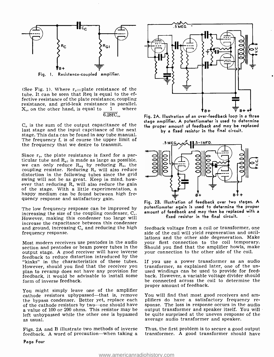

(See Fig. 1). Where  $r_p$ =plate resistance of the tube. It can be seen that Req is equal to the effective resistance of the plate resistance, coupling resistance, and grid-leak resistance in parallel.<br> $X_m$  on the other hand, is equal to  $1$  where  $X_{\omega}$  on the other hand, is equal to  $6.28$ fC<sub>o</sub>

 $C<sub>o</sub>$  is the sum of the output capacitance of the last stage and the input capcitance of the next stage. This data can be found in any tube manual. The frequency f, is of course the upper limit of the frequency that we desire to transmit.

Since  $r_p$ , the plate resistance is fixed for a par-<br>ticular tube and  $R_{\kappa 1}$  is made as large as possible,<br>we can only reduce  $R_{\kappa q}$  by reducing R<sub>e</sub>, the coupling resistor. Reducing  $R_c$  will also reduce distortion in the following tubes since the grid<br>swing will not be as great. Keep in mind, how-<br>ever that reducing  $R_c$  will also reduce the gain<br>of the stage. With a little experimentation, a<br>happy medium can be found be quency response and satisfactory gain.

The low frequency response can be improved by increasing the size of the coupling condenser,  $C_{\rm c}$ . However, making this condenser too large will increase the capacitance between this condenser<br>and ground, increasing  $C_0$  and reducing the high feedback voltage from a coil or transformer, one and ground, increasing  $C<sub>o</sub>$  and reducing the high frequency response.

Most modern receivers use pentodes in the audio section and pentodes or beam power tubes in the output stage. A good receiver will have inverse feedback to reduce distortion introduced by the "kinks" in the characteristics of these tubes. However, should you find that the receiver you transformer, as explained later, one of the un-<br>plan to revamp does not have any provision for used windings can be used to provide for feedplan to revamp does not have any provision for feedback, it would be advisable to install some form of inverse feedback.

You might simply leave one of the amplifier<br>cathode resistors upbypassed—that is, remove You will find that most good receivers and amthe bypass condenser. Better yet, replace each plifiers do have a satisfactory frequency re-<br>of the cathode resistors by two—one should have sponse. The loss in response occurs in the audio a value of 100 or 200 ohms. This resistor may be left unbypassed while the other one is bypassed as usual.

feedback. A word of precaution-when taking a



Fig. 2A. Illustration of an over -feedback loop in a three stage amplifier. A potentiometer is used to determine the proper amount of feedback and may be replaced by a fixed resistor in the final circuit.



Fig. 2B. Illustration of feedback over two stages. A potentiometer again is used to determine the proper amount of feedback and may then be replaced with a fixed resistor in the final circuit.

side of the coil will yield regeneration and oscillations and the other side degeneration. Make your first connection to the coil temporary. Should you find that the amplifier howls, make your connection to the other side of the coil.

If you use a power transformer as an audio transformer, as explained later, one of the unback. However, a variable voltage divider should be connected across the coil to determine the proper amount of feedback.

sponse. The loss in response occurs in the audio output transformer and speaker itself. You will be quite surprised at the uneven response of the average audio transformer and speaker.

Figs. 2A and B illustrate two methods of inverse Thus, the first problem is to secure a good output feedback. A word of precaution—when taking a transformer. A good transformer should have Thus, the first problem is to secure a good output

Page Four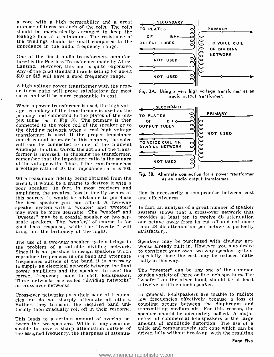<sup>a</sup>core with a high permeability and a great number of turns on each of the coils. The coils should be mechanically arranged to keep the leakage flux at a minimum. The resistance of the windings should be small compared to the impedance in the audio frequency range.

One of the finest audio transformers manufactured is the Peerless Transformer made by Altec-Lansing. However, this one is quite expensive. Any of the good standard brands selling for about \$10 or \$15 will have a good frequency range.

A high voltage power transformer with the prop-<br>er turns ratio will prove satisfactory for most<br>cases and will be more reasonable in cost.

When a power transformer is used, the high voltage secondary of the transformer is used as the primary and connected to the plates of the output tubes (as in Fig. 3). The primary is then connected to the voice coil of the speaker or to<br>the dividing network when a real high voltage transformer is used. If the proper impedance match cannot be made in this manner, the voice coil can be connected to one of the filament windings. In other words, the action of the transformer is reversed. In choosing the transformer, remember that the impedance ratio is the square of the voltage ratio. Thus, if the transformer has a voltage ratio of 10, the impedance ratio is 100.

With reasonable fidelity being obtained from the circuit, it would be a shame to destroy it with a poor speaker. In fact, in most receivers and amplifiers, the greatest loss in fidelity occurs at the best speaker you can afford. A two-way speaker system with a "woofer" and "tweeter" may even be more desirable. The "woofer" and systems shows that a cross-over network that "tweeter" may be a coaxial speaker or two sep-<br>provides at least ten to twelve db attenuation "tweeter" may be a coaxial speaker or two separate speakers. The "woofer," of course, is for one octave away from its cut off and not more good bass response; while the "tweeter" will than 18 db attenuation per octave is perfectly good bass response; while the "tweeter" will than 18 db<br>bring out the brilliancy of the highs. satisfactory. bring out the brilliancy of the highs.

The use of a two-way speaker system brings in the problem of a suitable dividing network. Since it is not possible to design speakers which reproduce frequencies in one band and attenuate frequencies outside of the band, it is necessary to supply an electrical network between the final<br>power amplifiers and the speakers to send the The "tweeter" can be any one of the common power amplifiers and the speakers to send the correct frequency band to each loudspeaker. These networks are called "dividing networks" or cross -over networks.

Cross -over networks pass their band of frequencies but do not sharply attenuate all others. Rather, they transmit the required band uni-

This leads to a certain amount of overlap between the two speakers. While it may seem desirable to have a sharp attenuation outside of thick and comparatively soft cone which can be the assigned frequency, the sharpness of attenua-



Fig. 3A. Using a very high voltage transformer as an audio output transformer.



Fig. 3B. Alternate connection for a power transformer as an audio output transformer.

tion is necessarily a compromise between cost and effectiveness.

In fact, an analysis of a great number of speaker systems shows that a cross-over network that one octave away from its cut off and not more

Speakers may be purchased with dividing networks already built in. However, you may desire to construct your own two -way speaker system, especially since the cost may be reduced materially in this way.

garden variety of three or five inch speakers. The "woofer" on the other hand, should be at least a twelve or fifteen inch speaker.

formly then gradually roll off in their response. transmitting medium air. For this reason, the<br>speaker should be adequately baffled. A major In general, loudspeakers are unable to radiate low frequencies effectively because a loss of coupling occurs between the diaphragm and transmitting medium air. For this reason, the defect of commercial loudspeakers is the large amount of amplitude distortion. The use of a driven fully without break -up, with the resulting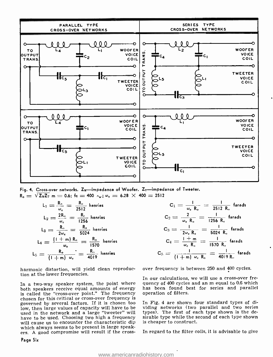

Fig. 4. Cross-over networks.  $Z_{w}$ -impedance of Woofer.  $Z_{T}$ -impedance of Tweeter.  $R_o = \sqrt{Z_w Z_T}$  m = 0.6; fc = 400  $\sim$ ;  $\omega_c = 6.28 \times 400 = 2512$ 

$$
L_1 = \frac{R_o}{\omega_c} = \frac{R_o}{2512}
$$
henries  
\n
$$
L_2 = \frac{2R_o}{\omega_c} = \frac{R_c}{1256}
$$
henries  
\n
$$
L_3 = \frac{R_o}{2\omega_c} = \frac{R_o}{5024}
$$
henries  
\n
$$
L_4 = \frac{(1+m) R_o}{\omega_c} = \frac{R_o}{1570}
$$
henries  
\n
$$
L_5 = \frac{R_o}{(1+m) \omega_c} = \frac{R_o}{4019}
$$
henries

harmonic distortion, will yield clean reproduction at the lower frequencies.

In a two-way speaker system, the point where both speakers receive equal amounts of energy has been found b<br>is called the "cross-over point." The frequency operation of filters. is called the "cross-over point." The frequency chosen for this critical or cross -over frequency is governed by several factors. If it is chosen too low, then large values of capacity will have to be used in the network and a large "tweeter" will have to be used. Choosing two high a frequency will cause us to encounter the characteristic dip which always seems to be present in large speakers. A good compromise will result if the cross-

$$
C_1 = \frac{1}{\omega_c R_o} = \frac{1}{2512 R_o} \text{ farads}
$$
\n
$$
C_2 = \frac{2}{\omega_c R_o} = \frac{1}{1256 R_o} \text{ farads}
$$
\nhenries

\n
$$
C_3 = \frac{1}{2\omega_c R_o} = \frac{1}{5024 R_o} \text{ farads}
$$
\n
$$
C_4 = \frac{1+m}{\omega_c R_o} = \frac{1}{1570 R_o} \text{ farads}
$$
\n
$$
C_5 = \frac{1}{(1+m)\omega_c R_o} = \frac{1}{4019 R_o} \text{ farads}
$$

over frequency is between 250 and 400 cycles.

 $\mathbf C$ 

In our calculations, we will use a cross-over frequency of 400 cycles and an m equal to 0.6 which has been found best for series and parallel

In Fig. 4 are shown four standard types of dividing networks (two parallel and two series types). The first of each type shown is the desirable type while the second of each type shown is cheaper to construct.

In regard to the filter coils, it is advisable to give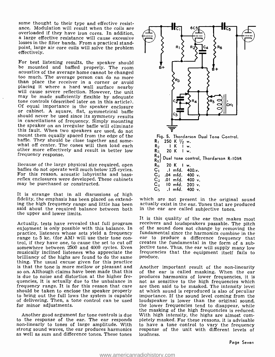some thought to their type and effective resistance. Modulation will result when the coils are overloaded if they have iron cores. In addition. a large effective resistance will cause excessive losses in the filter bands. From a practical standpoint, large air core coils will solve the problem effectively.

For best listening results, the speaker should<br>be mounted and baffled properly. The room acoustics of the average home cannot be changed too much. The average person can do no more than place the receiver in a corner or avoid will cause severe reflection. However, the unit may be made sufficiently flexible by adequate tone controls (described later on in this article).<br>Of equal importance is the speaker enclosure<br>or cabinet. A square, flat, symmetrical baffle should never be used since its symmetry results in cancellations of frequency. Simply mounting the speaker on an irregular baffle will eliminate this fault. When two speakers are used, do not mount them equally spaced from the edge of the<br>baffle. They should be close together and somewhat off center. The cones will then load each other more effectively and result in better low frequency response.

Because of the large physical size required, open baffles do not operate well much below 125 cycles. For this reason, acoustic labyrinths and bass-reflex enclosures were developed. These cabinets may be purchased or constructed.

It is strange that in all discussions of high fidelity, the emphasis has been placed on extending the high frequency range and little has been actually exist in the ear. Tones that are p said about the required balance between both in the ear are called subjective tones. said about the required balance between both the upper and lower limits.

Actually, tests have revealed that full program receivers and loudspeakers passable. The pitch enjoyment is only possible with this balance. In of the sound does not change by removing the practice, listeners whose sets yi practice, listeners whose sets yield a frequency trol, if they have one, to cause the set to cut off somewhere between 2500 and 4000 cycles. Even jective tone. Thus, the ear will supply many low musically inclined listeners who appreciate the frequencies that the equipment itself fails to musically inclined listeners who appreciate the thing. The usual excuse given for this practice<br>is that the tone is more mellow or pleasant and so on. Although claims have been made that this of the ear is called masking. When the ear is due to noise and distortion at the higher frequencies, it is actually due to the unbalance in frequency range. It is for this reason that care are then said to be masked. The intensity level should be taken to enclose the speaker properly at which sound is reproduced is also of peculiar to bring out the full lows the system is capable importance. If the sound level coming from the of delivering. Then, a tone control can be used loudspeaker is lower than the original sound. for minor adjustments.

Another good argument for tone controls is due With high intensity, the highs are almost com-<br>to the response of the ear. The ear responds pletely masked. For these reasons, it is advisable non-linearly to tones of large amplitude. With strong sound waves, the ear produces harmonics as well as sum and difference tones. These tones



which are not present in the original sound actually exist in the ear. Tones that are produced

It is this quality of the ear that makes most receivers and loudspeakers passable. The pitch ear to produce a difference frequency that creates the fundamental in the form of a subjective tone. Thus, the ear will supply many low produce.

Another important result of the non-linearity produces harmonics of lower frequencies, it is not as sensitive to the high frequencies which are then said to be masked. The intensity level importance. If the sound level coming from the the lower frequencies tend to disappear, while the masking of the high frequencies is reduced. pletely masked. For these reasons, it is advisable to have a tone control to vary the frequency response of the unit with different levels of loudness.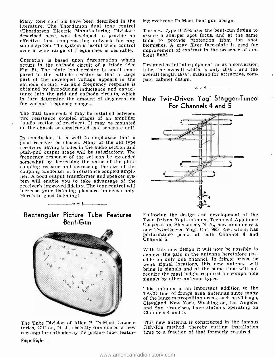Many tone controls have been described in the literature. The Thordarson dual tone control<br>(Thordarson Electric Manufacturing Division) The new Type 16TP4 uses the bent-gun design to (Thordarson Electric Manufacturing Division) The new Type 16TP4 uses the bent-gun design to described here, was developed to provide an assure a sharper spot focus, and at the same effective tone compensating network for any sound system. The system is useful when control blemishes.<br>over a wide range of frequencies is desirable. improveme<br>bient light.

Operation is based upon degeneration which occurs in the cathode circuit of a triode (See pared to the cathode resistor so that a large overall length  $18\frac{1}{6}$ ", part of the developed voltage appears in the pact cabinet design. part of the developed voltage appears in the cathode circuit. Variable frequency response is obtained by introducing inductance and capacitance into the grid and cathode circuits, which in turn determine the amount of degeneration for various frequency ranges.

The dual tone control may be installed between<br>two resistance coupled stages of an amplifier (audio section of receiver). It may be mounted<br>on the chassis or constructed as a separate unit.

In conclusion, it is well to emphasize that a good receiver be chosen. Many of the old type receivers having triodes in the audio section and push -pull output stage will be satisfactory. The frequency response of the set can be extended<br>somewhat by decreasing the value of the plate coupling resistor and increasing the size of the coupling condenser in a resistance coupled amplifier. A good output transformer and speaker system will enable you to take advantage of the receiver's improved fidelity. The tone control will increase your listening pleasure immeasurably. Here's to good listening!

## Rectangular Picture Tube Features Bent -Gun

 $-$ n r i



The Tube Division of Allen B. DuMont Labora-<br>tories, Clifton, N. J., recently announced a new rectangular cathode-ray TV picture tube, featuring exclusive DuMont bent -gun design.

The new Type 16TP4 uses the bent -gun design to assure a sharper spot focus, and at the same time to provide protection from ion spot blemishes. A gray filter face -plate is used for improvement of contrast in the presence of am-

Designed as initial equipment, or as a conversion tube, the overall width is only  $16\frac{1}{8}$ , and the overall length  $18\frac{1}{2}$ ", making for attractive, com-

 $n = -1$ 

### New Twin -Driven Yagi Stagger -Tuned For Channels 4 and 5



Following the design and development of the Twin-Driven Yagi antenna, Technical Appliance<br>Corporation, Sherburne, N. Y., now announces a<br>new Twin-Driven Yagi, Cat. 985–4½, which has performance peaks at both Channel 4 and Channel 5.

With this new design it will now be possible to achieve the gain in the antenna heretofore possible on only one channel. In fringe areas, or weak signal locations, this new antenna will bring in signals and at the same time will not require the mast height required for comparable signals by other antenna types.

This antenna is an important addition to the TACO line of fringe area antennas since many of the large metropolitan areas, such as Chicago, Cleveland, New York, Washington, Los Angeles and San Francisco, have stations operating on Channels 4 and 5.

This new antenna is constructed in the famous Jiffy -Rig method, thereby cutting installation time to a fraction of that formerly required.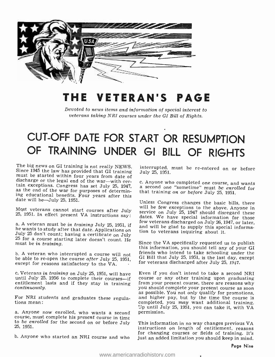

# THE VETERAN'S PAGE

Devoted to news items and information of special interest to veterans taking NRI courses under the GI Bill of Rights.

# CUT -OFF DATE FOR START OR RESUMPTION OF TRAINING UNDER GI BILL OF RIGHTS

The big news on GI training is not really NEWS.<br>Since 1945 the law has provided that GI training<br>must be started within four years from date of<br>discharge or the legal end of the war—with cer-<br>tain exceptions. Congress has

Mqst veterans cannot start courses after July 25, 1951. In effect present VA instructions say:

a. A veteran must be *in training* July 25, 1951, if he wants to study after that date. Applications on July 25 don't count; having a certificate on July 25 for a course starting later doesn't count. He must be *in traini* 

b. A veteran who interrupted a course will not be able to re-open the course after July 25, 1951, GI BIII that July 25, 1951, is the last day,  $\epsilon$  except for reasons satisfactory to the VA for veterans discharged after July 25, 1947. except for reasons satisfactory to the VA.

entitlement lasts and if they stay in training continuously.

For NRI students and graduates these regula-<br>tions mean:

course, must complete his present course in time to *be enrolled* for the second on or before July 25, 1951.

b. Anyone who started an NRI course and who

interrupted, must be re-entered on or before<br>July 25, 1951.

c. Anyone who completed one course, and wants a second one "sometime" must be enrolled for that training on or before July 25, 1951.

Unless Congress changes the basic bills, there will be few exceptions to the above. Anyone in<br>service on July 25, 1947 should disregard these dates. We have special information for those few veterans discharged on July 26, 1947, or later, and will be glad to supply this special information to veterans inquiring about it.

Since the VA specifically requested us to publish this information, you should tell any of your GI friends who intend to take schooling under the GI Bill that July 25, 1951, is the last day, except

c. Veterans in training on July 25, 1951, will have Even if you don't intend to take a second NRI until July 25, 1956 to complete their courses—if course or any other training upon graduating Up until July 25, 1951, you can take it, with VA<br>a. Anyone now enrolled, who wants a second permission. course or any other training upon graduating<br>from your present course, there are reasons why<br>you should complete your present course as soon as possible. You not only qualify for promotions, and higher pay, but by the time the course is completed, you may want additional training. permission.

> This information in no way changes previous VA instructions on length of entitlement, reasons for changing courses or fields of training. It's just an added limitation you should keep in mind.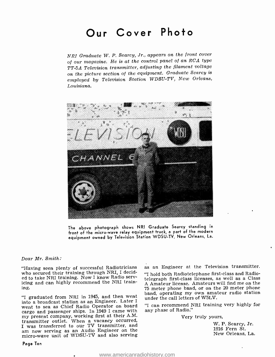# Our Cover Photo

NRI Graduate W. P. Searcy, Jr., appears on the front cover of our magazine. He is at the control panel of an RCA type TT -5A Television transmitter, adjusting the filament voltage on the picture section of the equipment. Graduate Searcy is employed by Television Station WDSU-TV, New Orleans, Louisiana.



The above photograph shows NRI Graduate Searcy standing in front of the micro -wave relay equipment truck, a part of the modern equipment owned by Television Station WDSU -TV, New Orleans, La.

Dear Mr. Smith:

"Having seen plenty of successful Radiotricians who secured their training through NRI, I decidicing and can highly recommend the NRI training.

"I graduated from NRI in 1945, and then went into a broadcast station as an Engineer. Later I went to sea as Chief Radio Operator on board cargo and passenger ships. In 1949 I came with my present company, working first at their A.M. transmitter outlet. When a vacancy occurred, I was transferred to our TV transmitter, and am now serving as an Audio Engineer on the micro-wave unit of WDSU-TV and also serving as an Engineer at the Television transmitter.

"I hold both Radiotelephone first -class and Radiotelegraph first -class licenses, as well as a Class A Amateur license. Amateurs will find me on the <sup>75</sup>meter phone band, or on the 20 meter phone band, operating my own amateur radio station under the call letters of W5LV.

"I can recommend NRI training very highly for any phase of Radio."

Very truly yours,

W. P. Searcy, Jr. 1916 Fern St. New Orleans, La.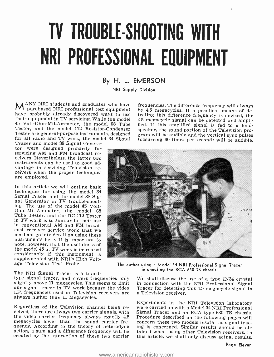# TV TROUBLE -SHOOTING WITH NRI PROFESSIONAL EQUIPMENT

# By H. L. EMERSON

NRI Supply Division

ANY NRI students and graduates who have frequencies. The difference frequency will always<br>A purchased NRI professional test equipment be 45 megacycles. If a practical means of do-45 Volt-Ohm-Mil-Ammeter, the model 68 Tube fied. If this amplified signal is fed to a loud-Tester, and the model 112 Resistor-Condenser Tester are general-purpose instruments, designed for all radio and TV work, the model 34 Signal Tracer and model 88 Signal Genera-

tor were designed primarily for servicing AM and FM broadcast receivers. Nevertheless, the latter two instruments can be used to good advantage in servicing Television re- ceivers when the proper techniques are employed.

In this article we will outline basic techniques for using the model 34 Signal Tracer and the model 88 Sig-<br>nal Generator in TV trouble-shoot-<br>ing. The use of the model 45 Volt-Ohm-Mil-Ammeter, the model 68 Tube Tester, and the RC-112 Tester in TV work is so similar to their use in conventional AM and FM broadneed not go into detail on using these instruments here. It is important to note, however, that the usefulness of the model 45 in TV work is increased considerably if this instrument is supplemented with NRI's High Voltage Television Test Probe.

The NRI Signal Tracer is a tuned-<br>type signal tracer, and covers frequencies only<br>slightly above 11 megacycles. This seems to limit<br>our signal tracer in TV work because the video I.F. frequencies used in Television receivers are always higher than 11 Megacycles.

Regardless of the Television channel being re-<br>ceived, there are always two carrier signals, with Signal Tracer and an RCA type 630 TS chassis the video carrier frequency always exactly 4.5 Procedure described on the following pages will<br>megacycles lower than the sound carrier fre- concern these two models insofar as signal tracmegacycles lower than the sound carrier fre-

**FIT purchased NRI professional test equipment** be 4.5 megacycles. If a practical means of de-<br>have probably already discovered ways to use the their equipment in TV servicing. While the model 4.5 megacycle signal can be d tecting this difference frequency is devised, the 4.5 megacycle signal can be detected and amplispeaker, the sound portion of the Television program will be audible and the vertical sync pulses (occurring 60 times per second) will be audible.



The author using a Model 34 NRI Professional Signal Tracer in checking the RCA 630 TS chassis.

We shall discuss the use of a type IN34 crystal in connection with the NRI Professional Signal Tracer for detecting this 4.5 megacycle signal in a Television receiver.

action, a sum and a difference frequency will be tained when using other Television receivers. In created by the interaction of these two carrier this article, we shall only discuss actual results, Experiments in the NRI Television laboratory Signal Tracer and an RCA type 630 TS chassis. Procedure described on the following pages will ing is concerned. Similar results should be ob-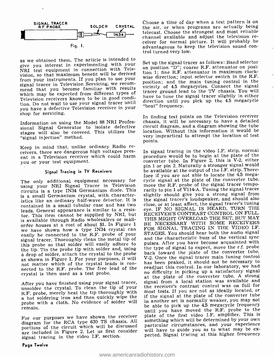

as we obtained them. The article Is intended to give you interest in experimenting with your Set up the signal tracer as follows: Band selector NRI test equipment in connection with Television, so that maximum benefit will be derived from your instruments. If you plan to use your signal tracer in Television Servicing, we recom- mend that you become familiar with results which may be expected from different types of Television receivers known to be in good condition. Do not wait to use your signal tracer until you have a defective Television receiver in your shop for servicing.

Information on using the Model 88 NRI Professional Signal Generator to isolate defective stages will also be covered. This utilizes the "signal injection" method.

Keep in mind that, unlike ordinary Radio re- ceivers, there are dangerous high voltages present in a Television receiver which could harm you or your test equipment.

#### Signal Tracing in TV Receivers

using your NRI Signal Tracer in Television circuits is a type IN34 Germanium diode. This is a small Germanium crystal, with characteristics like an ordinary half-wave detector. It is contained in a small tubular case and has two leads. General appearance is similar to a resistor. This item cannot be supplied by NRI, but order houses at a cost of about \$1. In Figure 1<br>we have shown how a type IN34 crystal can<br>easily be connected to the R.F. probe of your signal tracer. Thoroughly clean the metal tip of this probe so that solder will easily adhere to the tip. Tin the probe tip with solder and, using a drop of solder, attach the crystal to the probe as shown in Figure 1. For your purposes, it will not matter which of the crystal leads in the crystal leads is control. In our laboratory, we had crystal is then used as a test probe.

After you have finished using your signal tracer, unsolder the crystal. To clean the tip of your R.F. probe, merely heat the tip thoroughly with R.F. probe, merely heat the tip through the tip the signal at the plate of the converter tube probe with a cloth. No evidence of solder will remain.

For our purposes we have shown the receiver diagram for the RCA type 630 TS chassis. All something which will be determined by your own portions of the circuit which will be discussed are included in Figure 2. Let us first consider will have to guide you as to what may be ex-<br>given the video LF section bected. Signal tracing at this higher frequency signal tracing in the video I.F. section.

Choose a time of day when a test pattern is on the air, or when programs are actually being telecast. Choose the strongest and most reliable ceiver for normal picture. It will probably be advantageous to keep the television sound con- trol turned very low.

Set up the signal tracer as follows: Band selector tion 1; fine R.F. attenuator in maximum clockwise direction; input selector switch in the R.F. position; and the main tuning control in the vicinity of 4.5 megacycles. Connect the signal tracer ground lead to the TV chassis. You will have to tune the signal tracer slightly in either direction until you pick up the 4.5 megacycle "beat" frequency.

In finding test points on the Television receiver chassis, it will be necessary to have a detailed circuit diagram, and a diagram showing the tube location. Without this information it would be very impractical to attempt the location of test points.

The only additional equipment necessary for cycle signal at the plate of the converter tube, In signal tracing in the video I.F. strip, normal procedure would be to begin at the plate of the converter tube. In Figure 2, this is  $V-2$ , either pin 1 or pin 2. Naturally a stronger signal would be available at the output of the I.F. strip. Therefore if you are not able to locate the 4.5 megamove the R.F. probe of the signal tracer temporarily to pin 1 of V114-A. Tuning the signal tracer slightly should give you a strong signal from the signal tracer's loudspeaker, and should also close, or at least affect, the signal tracer's tuning eye. IF NO SIGNAL IS HEARD, TURN THE RECEIVER'S CONTRAST CONTROL ON FULL. THIS MIGHT OVERLOAD THE SET, BUT MAY BE NECESSARY WITH SOME RECEIVERS FOR SIGNAL TRACING IN THE VIDEO I.F. STAGES. You should hear both the audio signal and the characteristic buzz of the vertical sync pulses. After you have become acquainted with the type of signal to expect, move the r.f. probe back toward the plate of the converter tube, V-2. Once the signal tracer main tuning control has been peaked, it should not be necessary to no difficulty in picking up a satisfactory signal at the plate of the converter tube. A strong signal from a local station was available and the receiver's contrast control was on full for most tests. If you are not as ideally located, or in another set is normally weaker, you may not be able to pick up the 4.5 megacycle frequency until you have moved the R.F. probe to the plate of the first video I.F. amplifier. This is something which will be determined by your own will have to guide you as to what may be ex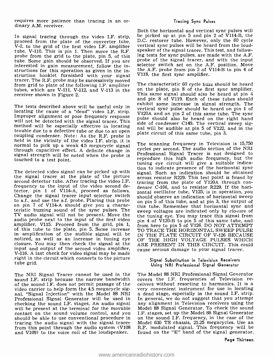requires more patience than tracing in an or-<br>dinary A.M. receiver.

In signal tracing through the video I.F. strip, the picked up at pin 5 and pin 2 of VII4-B, the proceed from the plate of the converter tube, D.C. restorer tube. However, only the 60 cycle V-2, to the grid of the first vi tube, V-110. This is pin 1. Then move the R.F. probe from the grid to the plate, pin 5, of this ing tests for sync pulses, are made with the A.F.<br>tube, Some gain should be observed If you are probe of the signal tracer, and with the input tube. Some gain should be observed. If you are interested in gain measurement, follow the instructions for this operation as given in the in-<br>struction booklet furnished with your signal tracer. The R.F. probe may be successively moved<br>from grid to plate of the following I.F. amplifier The characteristic 60 cycle buzz should be heard tubes, which are V-111, V-112, and V-113 in the  $\overline{a}$  on the plate, pin 8 of the first sync amplifier.<br>Feceiver shown in Figure 2 receiver shown in Figure 2.

The tests described above will be useful only in locating the cause of a "dead" video I.F. strip. Vertical sync pulse should be heard on pin 1 of Improper alignment or poor frequency response pulse should also be heard on the right hand will not be detected with the sign method will be especially effective in locating and will be audible at pin 5 of V122, and in the trouble due to adefective tube or due to an open coupling condenser. Note: As the R.F. probe is held in the vicinity of the video I.F. strip, it is normal to pick up a weak 4.5 megacycle signal through capacitive effect. A definite change in signal strength will be noted when the probe is touched to a test point.

The detected video signal can be picked up with the signal tracer at the plate of the picture the signal tracer at the plate of the picture seconds resistor R229. This test point is found by second detector tube. After tracing the video I.F. tracing from the plate of V120A through confrequency to the input of the video second detector, pin 1 of V114-A, proceed as follows.<br>Change the signal tracer input selector switch she to a.f., and use the a.f. probe. Placing this probe on pin 7 of V114 -A should give you a characteristic buzzing sound of the sync pulses. The TV audio signal will not be present. Move the audio probe next to the input of the first video amplifier, V115. Proceed from the grid, pin 1, of this tube to the plate, pin 5. Some increase in amplification of the audible signal will be noticed, as well as an increase in tuning eye closure. You may then check the signal at the input and output of the second video amplifier, cause serious damage to your signal tracer. V -116. A last check for video signal may be made right in the circuit which connects to the picture<br>tube grid.

The NRI Signal Tracer cannot be used in the – The Model 88 NRI Professional Signal Generator<br>sound LF, strip because the narrow bandwidth – covers the I.F. frequencies of Television resound I.F. strip because the narrow bandwidth of the sound I.F. does not permit passage of the ceivers without resorting to harmonics. It is a video carrier to help form the 4.5 megacycle sig- very convenient instrument for use in locating video carrier to help form the 4.5 megacycle signal. "Signal Injection" with the Model 88 NRI a dead stage, especially in the sound I.F. strip. Professional Signal Generator will be used in checking the sound I.F. stages. An audio signal will be present at the terminal for the movable Model 88 Signal Generator. To check the sound<br>contact on the sound volume control, and you I.F. stages, set up the Model 88 Signal Generator contact on the sound volume control, and you should be able to use conventional procedure in a on the sound I.F. frequency, in the case of the tracing the a<br>tracing the audio signal with the signal tracer Model 630 TS chassis, 21.25 megacycles. Use an tracing the audio signal with the signal tracer from this point through the audio system (V108 and V109) to the voice coil of the loudspeaker.

#### Tracing Sync Pulses

Both the horizontal and vertical sync pulses will be picked up at pin 5 and pin 2 of V114 -B, the vertical sync pulses will be heard from the loudspeaker of the signal tracer. This test, and following tests for sync pulses, are made with the A.F. selector switch set on the A.F. position. Move the A.F. probe from pin 2 of  $V114-B$  to pin 4 of V118, the first sync amplifier.

on the plate, pin 8 of the first sync amplifier.<br>This same signal should also be heard at pin 4<br>and pin 8 of V119. Each of these tubes should exhibit some increase in signal strength. The vertical sync pulse should be heard on pin 1 of pulse should also be heard on the right hand side of condenser C149. The vertical sweep sigplate circuit of this same tube, pin 3.

The scanning frequency in Television is 15,750 cycles per second. The audio section of the NRI Professional Signal Tracer is not designed to reproduce this high audio frequency, but the tuning eye circuit will give a suitable indication to indicate presence of the horizontal sync signal. Such an indication should be obtained tracing from the plate of V120A through con- denser C -166, and to resistor R229. If the horizontal oscillator tube, V125, is in operation, you should observe an indication of horizontal sweep on pin 5 of this tube, and at pin 3, the output of this tube. Remember that horizontal sync and sweep voltages are indicated only by closure of the tuning eye. You may trace this signal from pin 4 of V120-B to pin 5 of this same tube, and from here to pin 5 of V126. DO NOT ATTEMPT TO TRACE THE HORIZONTAL SWEEP PULSE IN THE PLATE CIRCUIT OF V-126 BECAUSE OF THE HIGH VOLTAGE PULSES WHICH ARE PRESENT IN THIS CIRCUIT. This could

#### Signal Substitution in Television Receivers Using NRI Professional Signal Generator

ceivers without resorting to harmonics. It is a In general, we do not suggest that you attempt any alignment in Television receivers using the Model 88 Signal Generator. To check the sound on the sound I.F. frequency, in the case of the R.F. modulated signal. This frequency will be found on the "E" band of the signal generator.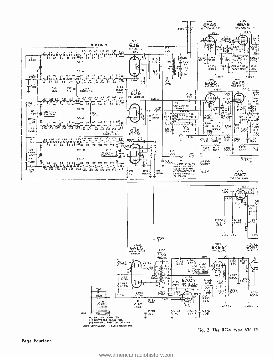

<www.americanradiohistory.com>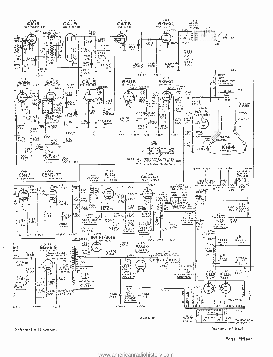

 $\boldsymbol{\ast}$ 

Page Fifteen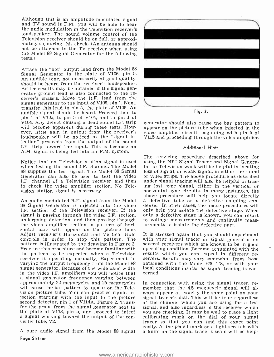Although this is an amplitude modulated signal and TV sound is F.M., you will be able to hear the audio modulation in the Television receiver's loudspeaker. The sound volume control of the<br>Television receiver should be on full, or approximately so, during this check. (An antenna should not be attached to the TV receiver when using the Model 88 Signal Generator for the following tests.)

Attach the "hot" output lead from the Model 88 Signal Generator to the plate of V106, pin 5. An audible tone, not necessarily of good quality, should be heard from the receiver's loudspeaker.<br>Better results may be obtained if the signal gen-<br>erator ground lead is also connected to the receiver's chassis. Move the R.F. lead from the signal generator to the input of V106, pin 1. Next, transfer this lead to pin 5, the plate of V105. An audible signal should be heard. Proceed then to pin 1 of V105, to pin 5 of V104, and to pin 1 of V104. Any defect causing a dead sound I.F. strip will become apparent during these tests. However, little gain in output from the receiver's loudspeaker will be noticed as the "signal injection" proceeds from the output of the sound I.F. strip toward the input. This is because an A.M. signal is being fed into an F.M. system.

Notice that no Television station signal is used using the NRI Signal Tracer and Signal Genera-<br>when testing the sound I.F. channel. The Model tor in Television work will be helpful in locating when testing the sound I.F. channel. The Model tor in Television work will be helpful in locating<br>88 supplies the test signal. The Model 88 Signal loss of signal, or weak signal, in either the sound <sup>88</sup>supplies the test signal. The Model 88 Signal Generator can also be used to test the video I.F. channel of a Television receiver and then to check the video amplifier section. No Television station signal is necessary.

An audio modulated R.F. signal from the Model a defective tube or a defective coupling con-<br>88 Signal Generator is injected into the video denser. In other cases, the above procedures will 88 Signal Generator is injected into the video I.F. section of the Television receiver. If the signal is passing through the video I.F. section, undergoing detection, and then passing through the video amplifier section, a pattern of horithe video amplifier section, a pattern of hori-<br>
zontal bars will appear on the picture tube.<br>
Adjust receiver's Horizontal and Vertical Hold It is stressed again that you should experiment Adjust receiver's Horizontal and Vertical Hold controls in order to stop this pattern. The with your signal tracer or signal generator on pattern is illustrated by the drawing in Figure 3. several receivers which are known to be in good pattern is illustrated by the drawing in Figure 3. several receivers which are known to be in good<br>Practice this procedure and become familiar with operating condition. Become acquainted with the Practice this procedure and become familiar with operating condition. Become acquainted with the the pattern to be expected when a Television results which you can expect in different rethe pattern to be expected when a Television receiver is operating normally. Experiment in ceivers. Results may vary somewhat from those varying the output frequency from the Model 88 obtained with the Model 630 TS, or with your varying the output frequency from the Model 88 signal generator. Because of the wide band width local cost in the video LF, amplifiers you will notice that cerned. in the video I.F. amplifiers you will notice that a signal generator frequency varying between approximately 22 megacycles and 25 megacycles will cause the bar pattern to appear on the Television picture tube. You can practice signal injection starting with the input to the picture second detector, pin 1 of V114A, Figure 2. Transfer the probe from the signal generator next to signal, and also regardless of the receiver which<br>the plate of V113, pin 5, and proceed to inject you are checking. It may be well to place a light the plate of V113, pin 5, and proceed to inject a signal working toward the output of the con- verter tube, V2.

Page Sixteen



generator should also cause the bar pattern to appear on the picture tube when injected in the video amplifier circuit, beginning with pin 5 of V115 and proceeding through the video amplifier.

#### Additional Hints

The servicing procedure described above for using the NRI Signal Tracer and Signal Generaor video strips. The above procedure as described under signal tracing will also be helpful in tracing lost sync signal, either in the vertical or horizontal sync circuits. In many instances, the a defective tube or a defective coupling cononly help you isolate the defective stage. When only a defective stage is known, you can resort to voltage measurements and continuity meas-

with your signal tracer or signal generator on ceivers. Results may vary somewhat from those local conditions insofar as signal tracing is con-

easily. A fine pencil mark or a light scratch with<br>A pure audio signal from the Model 88 signal a knife on the signal tracer's scale will be help-In connection with using the signal tracer, re-<br>member that the 4.5 megacycle signal will al-<br>ways appear at exactly the same point on your signal tracer's dial. This will be true regardless of the channel which you are using for a test signal, and also regardless of the receiver which calibrating mark on the dial of your signal<br>tracer so that you can find this exact point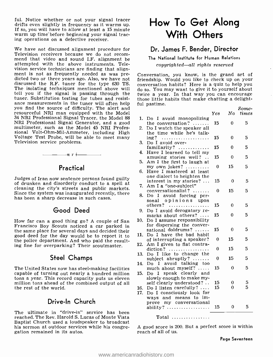ful. Notice whether or not your signal tracer drifts even slightly in frequency as it warms up. If so, you will have to allow at least a 15 minute warm up time before beginning your signal tracing operations on a defective receiver.

We have not discussed alignment procedure for Television receivers because we do not recom- mend that video and sound I.F. alignment be attempted with the above instruments. Television service technicians are finding that alignment is not as frequently needed as was pre- dicted two or three years ago. Also, we have not discussed the R.F. tuner for the type 630 TS. The isolating techniques mentioned above will tell you if the signal is passing through the twice a year. In that way you can encourage<br>tuner. Substitution testing for tubes and resist-<br>those little habits that make chatting a delighttuner. Substitution testing for tubes and resist- ance measurements in the tuner will often help you find the source of difficulty. The alert and resourceful NRI man equipped with the Model 34 NRI Professional Signal Tracer, the Model 88 NRI Professional Signal Generator, and a good multimeter, such as the Model 45 NRI Profes-Voltage Test Probe, will be able to meet many Television service problems.

# Practical

 $-\cdots$ nri $-\cdots$ 

Judges of Iran now sentence persons found guilty of drunken and disorderly conduct to a spell at cleaning the city's streets and public markets. Since the system was inaugurated recently, there has been a sharp decrease in such cases.

### Good Deed

How far can a good thing go? A couple of San Francisco Boy Scouts noticed a car parked in the same place for several days and decided their good deed for the day would be to report it to 11<br>the police department. And who paid the resulting fine for overparking? Their scoutmaster.

## Steel Champs

The United States now has steel-making facilities capable of turning out nearly a hundred million tons a year. This record capacity puts us eleven million tons ahead of the combined output of all the rest of the world.

### Drive-In Church

The ultimate in "drive-in" service has been reached. The Rev. Harold S. Lucas of Monte Vista Baptist Church used a loudspeaker to broadcast his sermon at outdoor services while his congre- gation remained in its autos.

# How To Get Along With Others

## Dr. James F. Bender, Director

The National Institute for Human Relations

copyrighted—all rights reserved

Conversation, you know, is the grand art of friendship. Would you like to check up on your conversation habits? Here is a quiz to help you do so. You may want to give it to yourself about twice a year. In that way you can encourage ful pastime.

|     |                                                  |              |              | $_{Some\text{-}}$ |
|-----|--------------------------------------------------|--------------|--------------|-------------------|
|     |                                                  | Yes          | No           | times             |
| 1.  | Do I avoid monopolizing                          |              |              |                   |
|     | the conversation?                                | 15           | 0            | 5                 |
| 2.  | Do I watch the speaker all                       |              |              |                   |
|     | the time while he's talk-                        |              |              |                   |
|     | $ing?$                                           | 15           | $\mathbf{0}$ | 5                 |
| 3.  | Do I avoid over-                                 |              |              |                   |
|     | familiarity?                                     | 15           | $\theta$     | 5                 |
| 4.  | Have I learned to tell my                        |              |              |                   |
|     | amusing stories well?                            | 15           | 0            | 5                 |
| 5.  | Am I the first to laugh at                       |              |              |                   |
|     | my own jokes?                                    | $\mathbf{0}$ | 15           | 5                 |
| 6.  | Have I mastered at least                         |              |              |                   |
|     | one dialect to heighten the                      |              |              |                   |
|     | interest in my stories?                          | 15           | $\bf{0}$     | 5                 |
| 7.  | Am I a "one-subject"                             |              |              |                   |
|     | conversationalist?                               | 0            | 15           | 5                 |
| 8.  | Do I avoid forcing per-                          |              |              |                   |
|     | sonal opinions upon                              | 15           | 0            | 5                 |
|     | $others?$                                        |              |              |                   |
| 9.  | Do I avoid derogatory re-                        | 15           | 0            | 5                 |
|     | marks about others? $\dots$                      |              |              |                   |
| 10. | Do I assume responsibility                       |              |              |                   |
|     | for dispersing the conver-<br>sational doldrums? | 15           | 0            | 5                 |
| 11. | Do I have the bad habit                          |              |              |                   |
|     | of interrupting a speaker?                       | $\mathbf 0$  | 15           | 5                 |
| 12. | Am I given to flat contra-                       |              |              |                   |
|     | diction?                                         | 0            | 15           | 5                 |
| 13. | Do I like to change the                          |              |              |                   |
|     | subject abruptly? $\ldots \ldots$                | $\mathbf{0}$ | 15           | 5                 |
| 14. | Do I avoid talking too                           |              |              |                   |
|     | much about myself? $\ldots$                      | 15           | $\bf{0}$     | 5                 |
| 15. | Do I speak clearly and                           |              |              |                   |
|     | slowly enough to make my-                        |              |              |                   |
|     | self clearly understood?                         | 15           | 0            | 5                 |
| 16. | Do I listen carefully? $\ldots$                  | 15           | 0            | 5                 |
| 17. | Do I consciously look for                        |              |              |                   |
|     | ways and means to im-                            |              |              |                   |
|     | prove my conversational                          |              |              |                   |
|     | ability? $\ldots$                                | 15           | 0            | 5                 |
|     |                                                  |              |              |                   |
|     |                                                  |              |              |                   |

Total ................

A good score is 200. But a perfect score is within reach of all of us.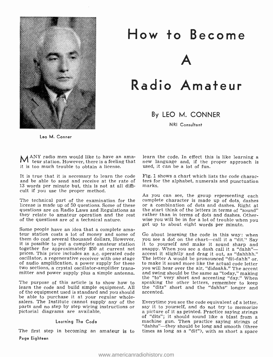

# How to Become A Radio Amateur

By LEO M. CONNER

NRI Consultant

Leo M. Conner

 $M^{ANY}$  radio men would like to have an ama-<br> $M$  teur station. However, there is a feeling that new language and, if the proper approach is it is too much trouble to obtain a license.

It is true that it is necessary to learn the code and be able to send and receive at the rate of ters for<br>13 words per minute but, this is not at all diffi- marks. 13 words per minute but, this is not at all difficult if you use the proper method.

The technical part of the examination for the complete character is made up of dots, dashes license is made up of 50 questions. Some of these or a combination of dots and dashes. Right at license is made up of 50 questions. Some of these questions are on Radio Laws and Regulations as the start think of the letters in terms of "sound"<br>they relate to amateur operation and the rest rather than in terms of dots and dashes. Otherof the questions are of a technical nature.

Some people have an idea that a complete ama-<br>teur station costs a lot of money and some of Go about learning the code in this way: when<br>them do cost several thousand dollars, However, you see a dot on the chart—call it a it is possible to put a complete amateur station it to yourself and make it sound sharp and<br>together for approximately \$50 at current net snappy. When you see a dash call it a "dahh" together for approximately \$50 at current net prices. This price includes an a.c. operated code of audio amplification, a power supply for these two sections, a crystal oscillator -amplifier trans-

The purpose of this article is to show how to learn the code and build simple equipment. All of the equipment used is standard and you should be able to purchase it at your regular wholesalers. The Institute cannot supply any of the Everytime you see the code equivalent of a letter, parts and no step by step wiring instructions or say it to yourself, and do not try to memorize parts and no step by step wiring instructions or pictorial diagrams are available.

#### Learning The Code

The first step in becoming an amateur is to times as long as a "dit"), with as short a space Page Eighteen

new language and, if the proper approach is used, it can be a lot of fun.

Fig. 1 shows a chart which lists the code characters for the alphabet, numerals and punctuation

As you can see, the group representing each complete character is made up of dots, dashes the start think of the letters in terms of "sound" wise you will be in for a lot of trouble when you

mitter and power supply plus a simple antenna. and swing should be the same as "today," making<br>the "to" very short and accenting "day." When Go about learning the code in this way: when you see a dot on the chart—call it a "dit." Say<br>it to yourself and make it sound sharp and<br>snappy. When you see a dash call it a "dahhh"—<br>" accent it slightly and drag it out, as "dahhhh." The letter A would be pronounced "dit-dahh" or, to make it sound more like the actual code letter you will hear over the air, "didaahh." The accent and swing should be the same as "today," making speaking the other letters, remember to keep the "dits" short and the "dahhs" longer and accented.

> Everytime you see the code equivalent of a letter, a picture of it as printed. Practice saying strings of "dits"; it should sound like a blast from a machine gun. Then practice saying strings of "dahhs"—they should be long and smooth (three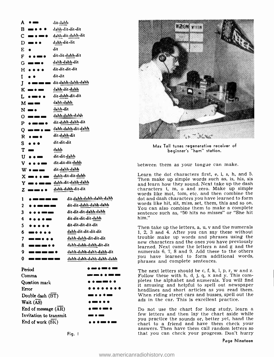| A           |                                                | dit-dahlı        |                                |                        |
|-------------|------------------------------------------------|------------------|--------------------------------|------------------------|
| в           |                                                | dahh-dit-dit-dit |                                |                        |
| с           | п.                                             |                  | dahh-dit-dahh-dit              |                        |
|             | $D = \cdots$                                   | dahh-dit-dit     |                                |                        |
| E           | ۰                                              | dit              |                                |                        |
| F           | ه د                                            | dit-dit-dahh-dit |                                |                        |
| G           | ه 1                                            | dahh-dahh-dit    |                                |                        |
| н           |                                                | dit-dit-dit-dit  |                                |                        |
| I           |                                                | dit-dit          |                                |                        |
| J           | ---                                            |                  | dit-dahh-dahh-dahh             |                        |
| K.          | .                                              | dahh-dit-dahh    |                                |                        |
| L           | $\bullet = \bullet \bullet$                    |                  | dit-dahh-dit-dit               |                        |
|             | $M \equiv \equiv$                              | dahh-dahh        |                                |                        |
|             | $\mathbf{N} = \bullet$                         | dahh-dit         |                                |                        |
|             | $0 =$                                          |                  | dahh-dahh-dahh                 |                        |
| P           | ---                                            |                  | dit-dahh-dahh-dit              |                        |
|             | $Q = 0$<br>.                                   |                  | dahh-dahh-dit-dahh             |                        |
| R           | $\bullet = \bullet$                            | dit-dahh-dit     |                                |                        |
| S.          |                                                | dit-dit-dit      |                                |                        |
| т           |                                                | dabh             |                                | Ma                     |
|             | <b>U</b>                                       | dit-dit-dahh     |                                |                        |
| v.          | $\bullet\bullet\bullet$ and a set of $\bullet$ |                  | dit-dit-dit-dahh               |                        |
|             | $\mathbf{w} \bullet - \bullet$                 | dit-dahh-dahh    |                                | between                |
|             | $X = \cdot \cdot$                              |                  | dahh-dit-dit-dahh              | Learn th               |
| Y.          | ī.                                             |                  | dahh-dit-dahh-dahh             | Then ma<br>and learr   |
| z           | ---                                            |                  | dahh-dahh-dit-dit              | character              |
|             |                                                |                  |                                | words lik              |
| 1           | <b>.</b>                                       |                  | dit-dahh-dahh-dahh-dahh        | dot and d<br>words lik |
| $\mathbf 2$ | .                                              |                  | dit-dit-dahh-dahh-dahh         | You can                |
| 3           |                                                |                  | dit-dit-dit-dahh-dahh          | sentence<br>him."      |
| 4           |                                                |                  | dit-dit-dit-dit-dahh           |                        |
| 5.          |                                                |                  | dit-dit-dit-dit-dit            | Then tak               |
| 6           | . .                                            |                  | dahh-dit-dit-dit-dit           | 1, 2, 3 a<br>trouble r |
| 7           | œ                                              |                  | dahh-dahh-dit-dit-dit          | new char               |
| 8           |                                                |                  | dahh-dahh-dahh-dit-dit         | learned.               |
| 9.          |                                                |                  | dahh-dahh-dahh-dahh-dit        | numerals<br>you hav    |
| 0           | œ<br>ه د                                       | œ                | dahh-dahh-dahh-dahh-dahh       | phrases a              |
|             | Period                                         |                  | .                              | The next               |
|             | Comma                                          |                  |                                | Follow th              |
|             | Question mark                                  |                  |                                | pletes th<br>it amusii |
|             | Error                                          |                  | $\bullet\bullet\bullet\bullet$ | headlines              |
|             | Double dash (BT)                               |                  |                                | When ric               |
|             | Wait (AS)                                      |                  |                                | ads in th              |
|             | End of message (AR)                            |                  |                                | Do not :               |
|             | Invitation to transmit                         |                  |                                | few lette              |
|             | End of work (SK)                               |                  |                                | you prac<br>chart to   |





Max Tall tunes regenerative receiver of beginner's "ham" station.

between them as your tongue can make.

Learn the dot characters first, e, i, s, h, and 5. Then make up simple words such as, is, his, sis and learn how they sound. Next take up the dash characters t, m, o and zero. Make up simple words like mot, tom, etc. and then combine the dot and dash characters you have learned to form words like hit, sit, miss, set, them, this and so on. You can also combine them to make a complete sentence such as, "50 hits no misses" or "She hit him."

Then take up the letters, a, u, v and the numerals 1, 2, 3 and 4. After you can say these without new characters and the ones you have previously learned. Next come the letters n and g and the numerals 6, 7, 8 and 9. Add these to the others you have learned to form additional words, phrases and complete sentences.

The next letters should be c, f, k, l, p, r, w and z. Follow these with b, d, j, q,  $x$  and  $y$ . This completes the alphabet and numerals. You will find it amusing and helpful to spell out newspaper headlines and short articles as you read them. When riding street cars and busses, spell out the ads in the car. This is excellent practice.

Do not use the chart for long study, learn a few letters and then lay the chart aside while you practice the sounds or, better yet, hand the chart to a friend and have them check your answers. Then have them call random letters so that you can check your progress. Don't hurry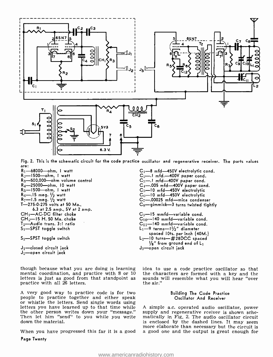

Fig. 2. This is the schematic circuit for the code practice oscillator and regenerative receiver. The parts values<br>are: R<sub>1</sub>—68000—ohm, I watt Randor Research Research C<sub>1</sub>—8 mfd—450V electrolytic cond.<br>R<sub>2</sub>—1500—ohm, I wa

 $R_2$ --1500--ohm, I watt<br> $R_3$ --500,000--ohm volume control R<sub>4</sub>-25000-ohm, 10 watt R5-1500-ohm, I watt  $R_6$ -15 meg.  $1/2$  watt<br> $R_7$ -1.5 meg.  $1/2$  watt T-275-0-275 volts at 50 Ma., 6.3 at 2.5 amp., 5V at 2 amp. CH<sub>1</sub>-AC-DC filter choke  $CH_2$ -15 H. 50 Ma. choke  $T_2$ —Audio trans. 3:1 ratio <sup>51</sup>-SPST toggle switch

S<sub>2</sub>-SPST toggle switch

 $J_1$ -closed circuit jack J2-open circuit jack

though because what you are doing is learning mental coordination, and practice with 8 or <sup>10</sup> letters is just as good from that standpoint as practice with all 26 letters.

A very good way to practice code is for two people to practice together and either speak **or all official or Socillator And Receiver**<br>or whistle the letters. Send single words using<br>letters you have learned up to that time while A simple a.c. operated audio oscillat the other person writes down your "message." Then let him "send" to you while you write down the material.

Page Twenty

 $C_1$ -8 mfd-450V electrolytic cond.  $C_2$  -.! mfd.  $-400V$  paper cond.  $C_3$ -.I mfd-400V paper cond.  $C_4$ -.005 mfd-400V paper cond.  $C_5$ -10 mfd -450V electrolytic<br>  $C_6$ -10 mfd -450V electrolytic<br>  $C_7$ -.00025 mfd -mica condenser<br>  $C_8$ - gimmick -3 turns twisted tightly  $C_9$  -15 mmfd -variable cond. C10—140 mmfd—variable cond.<br>C11—140 mmfd—variable cond.<br>L1—9 terms—1½" diameter spaced IOts. per inch (40M.)  $L_2$  -10 turns-  $\#28DCC$  spaced  $\frac{1}{8}$ " from ground end of  $L_1$  $J_3$  -open circuit jack

idea to use a code practice oscillator so that the characters are formed with a key and the sounds will resemble what you will hear "over the air."

#### Building The Code Practice Oscillator And Receiver

more elaborate than necessary but the circuit is<br>When you have progressed this far it is a good a good one and the output is great enough for supply and regenerative rceiver is shown schematically in Fig. 2. The audio oscillator circuit is enclosed by the dashed lines. It may seem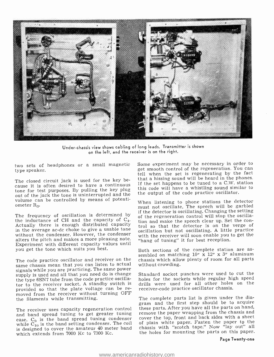

Under -chassis view shows cabling of long leads. Transmitter is shown on the left, and the receiver is on the right.

type speaker.

The closed circuit jack is used for the key be- cause it is often desired to have a continuous tone for test purposes. By pulling the key plug out of the jack the tone is uninterrupted and the volume can be controlled by means of potentiometer R<sub>3</sub>.

The frequency of oscillation is determined by the inductance of CH and the capacity of  $C_4$ .<br>Actually there is enough distributed capacity  $\frac{C_4}{100}$  and make the speech clear up. Set the con-Actually there is enough distributed capacity in the average ac -dc choke to give a usable tone without the condenser. However, the condenser alters the pitch and makes a more pleasing note. Experiment with different capacity values until<br>you get the tone which suits you best.<br>Both sections of the complete station are asyou get the tone which suits you best.

The code practice oscillator and receiver on the same chassis mean that you can listen to actual signals while you are practicing. The same power supply is used and all that you need do is change the type 6SN7 tube from the code practice oscillator to the receiver socket. A standby switch is provided so that the plate voltage can be re- moved from the receiver without turning OFF the filaments while transmitting.

ease.  $C_9$  is the band spread tuning condenser cover the top, front and back sides with a sheet while  $C_{10}$  is the band setting condenser. The coil is designed to cover the amateur 40 meter band which extends from 7000 Kc to 7300 Kc.

two sets of headphones or a small magnetic Some experiment may be necessary in order to<br>get smooth control of the regeneration. You can Some experiment may be necessary in order to tell when the set is regenerating by the fact that a hissing sound will be heard in the phones. If the set happens to be tuned to a C.W. station this code will have a whistling sound similar to the output of the code practice oscillator.

> When listening to phone stations the detector must not oscillate. The speech will be garbled if the detector is oscillating. Changing the setting of the regeneration control will stop the oscillation and make the speech clear up. Set the conoscillation but not oscillating. A little practice with the receiver will soon enable you to get the "hang of tuning" it for best reception.

> sembled on matching  $10''$  x  $12''$  x 3" aluminum chassis which allow plenty of room for all parts without crowding.

> Standard socket punches were used to cut the holes for the sockets while regular high speed drills were used for all other holes on the receiver -code practice oscillator chassis.

The receiver uses capacity regeneration control these parts. After you have all the parts on hand, and band spread tuning to get greater tuning remove the paper wrapping from the chassis and The complete parts list is given under the diagram and the first step should be to acquire remove the paper wrapping from the chassis and of plain white paper. Fasten the paper to the chassis with "scotch tape." Now "lay out" all the holes for mounting the parts on this paper.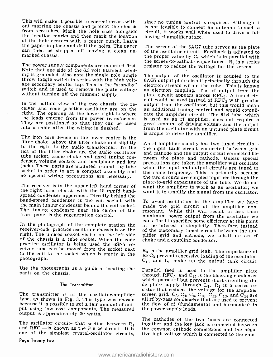This will make it possible to correct errors without marring the chassis and protect the chassis is not feasible to connect an antenna to such a<br>from scratches. Mark the hole sizes alongside circuit, it works well when used to drive a folthe location marks and then mark the location of the hole centers with a center punch. Leave<br>the paper in place and drill the holes. The paper can then be stripped off leaving a clean un-<br>marked chassis.

The power supply components are mounted first. resistor to reduce the voltage for the screen. Note that one side of the 6.3 volt filament wind-<br>ing is grounded. Also note the single pole, single throw toggle switch in series with the high voltage secondary center tap. This is the "standby" switch and is used to remove the plate voltage without turning off the filament supply.

They are positioned so that they can be laced into a cable after the wiring is finished.

The iron core device in the lower center is the<br>filter choke. Above the filter choke and slightly and rainplifier usually has two tuned circuits—<br>to the right is the audio transformer. To the left of the filter choke are t tube socket, audio choke and fixed tuning con-<br>denser, volume control and headphone and key<br>jacks. These parts are mounted around the tube when the input and output circuits are tuned to<br>socket in order to get a compact as

The receiver is in the upper left hand corner of  $\frac{1}{2}$  want the amplifier to work as an oscillator; we the right hand chassis with the 15 mmfd band- $\frac{1}{2}$  want it to amplify the signal from the oscillator. spread condenser uppermost. Directly behind the band -spread condenser is the coil socket with the main tuning condenser behind the coil socket. The tuning condenser near the center of the resonant. While this will result in less than front panel is the regeneration control.

receiver-code practice oscillator chassis is on the of the customary tuned circuit between the amright. The unused socket visible on the left side of the chassis is a tube socket. When the code practice oscillator is being used the 6SN7 receiver tube can be moved from the socket next to the coil to the socket which is empty in the photograph.

Use the photographs as a guide in locating the parts on the chassis.

#### The Transmitter

The transmitter is of the oscillator-amplifier type, as shown in Fig. 3. This type was chosen because it is possible to get a fair amount of output using low cost components. The measured the power supply leads. output is approximately 30 watts.

and RFC<sub>2</sub>—is known as the Pierce circuit. It is the common cathode connections and the nega-<br>one of the simplest crystal-oscillator circuits, tive high voltage which is connected to the chas-

#### Page Twenty -two

since no tuning control is required. Although it is not feasible to connect an antenna to such a lowing rf amplifier stage.

The screen of the 6AG7 tube serves as the plate of the oscillator circuit. Feedback is adjusted to the proper value by  $C_2$  which is in parallel with the screen-to-cathode capacitance.  $R_2$  is a series resistor to reduce the voltage for the screen.<br>The output of the oscillator is coupled to the

In the bottom view of the two chassis, the re-<br>ceiver and code practice oscillator are on the and code practice oscillator are on the and and item right. The opening at the lower right is where cate the amplifier circuit. 6AG7 output plate circuit principally through the as electron coupling. The rf output from the<br>plate circuit appears across RFC<sub>2</sub>. A tuned cirgreat amount of driving voltage and the output<br>from the oscillator with an untuned plate circuit is ample to drive the amplifier.

> An rf amplifier usually has two tuned circuitsthe input tank circuit connected between grid tween the plate and cathode. Unless special when the input and output circuits are tuned to the same frequency. This is primarily because the two circuits are coupled together through the plate -to -grid capacitance of the tube. We do not want it to amplify the signal from the oscillator.

can afford to sacrifice some efficiency at this point<br>In the photograph of the complete station the<br>in the interest of simplicity. Therefore, instead To avoid oscillation in the amplifier we have made the grid circuit of the amplifier nonmaximum power output from the oscillator we plifier grid and cathode, we substitute an rf choke and a coupling condenser.

> $R<sub>3</sub>$  is the amplifier grid leak. The impedance of  $RFC<sub>3</sub>$  prevents excessive loading of the oscillator.  $C_{15}$  and  $L_1$  make up the output tank circuit.

> Parallel feed is used to the amplifier plate through RFC<sub>5</sub>, and C<sub>12</sub> is the blocking condenser which passes rf but prevents short circuiting the dc plate supply through  $L_1$ .  $R_4$  is a series resistor that reduces the voltage for the amplifier<br>screen grid.  $C_3$ ,  $C_4$ ,  $C_6$ ,  $C_{10}$ ,  $C_{11}$ ,  $C_{13}$ , and  $C_{14}$  are<br>all rf by-pass condensers that are used to prevent the flow of rf (fundamental and harmonics) in

The cathodes of the two tubes are connected<br>The oscillator circuit—that section between  $R_1$  together and the key jack is connected between<br>and RFC<sub>2</sub>—is known as the Pierce circuit. It is the common cathode connections together and the key jack is connected between tive high voltage which is connected to the chas-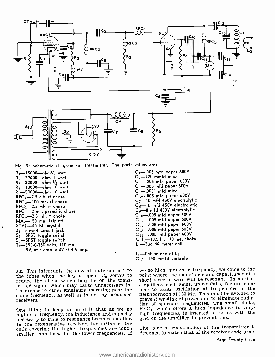

Fig. 3: Schematic diagram for transmitter. The parts values are:

 $R_1$ -15000--ohm $\frac{1}{2}$  watt R<sub>2</sub>-39000-ohm I watt  $R_3$ -22000--ohm  $\frac{1}{2}$  watt  $R_4$ -10000--ohm 10 watt  $R_5$ -50000-ohm 10 watt  $RFC<sub>1</sub>$  -2.5 mh. rf choke RFC<sub>2</sub>—100 mh. rf choke<br>RFC<sub>3</sub>—2.5 mh. rf choke RFC<sub>3</sub>—2.5 mm. i i choke<br>RFC<sub>4</sub>—2 mh. parasitic choke<br>RFC<sub>5</sub>—2.5 mh. rf choke MA.—150 ma. Triplett<br>XTAL—40 M. crystal  $J_1$ -closed circuit jack  $S_1$  -SPST toggle switch<br> $S_2$  -SPST toggle switch  $T_1$ —350-0-350 volts, 110 ma.<br>5V. at 3 amp; 6.3V at 4.5 amp.

 $\lambda$ 

 $C_1$  -.005 mfd paper 600V  $C_2$ -220 mmfd mica  $C_3$ -005 mfd paper 600V  $C_4$  -.005 mfd paper 600V  $C_5$ -.0001 mfd mica  $C_6$ -005 mfd paper 600V  $C_7$ -10 mfd 450V electrolytic  $C_8$  -10 mfd 450V electrolytic  $C_9$ —8 mfd 450V electrolytic  $C_{10}$ -005 mfd paper 600V  $C_{11}$  -.005 mfd paper 600V  $C_{12}$ -.005 mfd paper 600V  $C_{13}$ -.005 mfd paper 600V  $C_{14}$  -.005 mfd paper 600V  $CH<sub>1</sub>$   $-10.5$  H, 110 ma. choke  $L_1$  -Bud 40 meter coil

 $L_2$ -link on end of  $L_1$  $C_{15}$ -140 mmfd variable

sis. This interrupts the flow of plate current to the tubes when the key is open.  $C_9$  serves to point where the inductance and capacitance of a<br>reduce the clicks which may be on the trans-short piece of wire will be resonant. In most rf reduce the clicks which may be on the transmitted signal which may cause unnecessary interference to other amateurs operating near the bine to cause oscillation at frequencies in the same frequency, as well as to nearby broadcast neighborhood of 150 Mc. This must be avoided to receivers.

higher in frequency, the inductance and capacity necessary to tune to resonance becomes smaller. In the regenerative receiver, for instance, the coils covering the higher frequencies are much smaller than those for the lower frequencies. If

One thing to keep in mind is that as we go  $RFC_4$ , which offers a high impedance to verywe go high enough in frequency, we come to the point where the inductance and capacitance of a amplifiers, such small unavoidable factors comneighborhood of 150 Mc. This must be avoided to prevent wasting of power and to eliminate radiation of spurious frequencies. The small choke, high frequencies, is inserted in series with the grid of the amplifier to prevent this.

> The general construction of the transmitter is designed to match that of the receiver -code prac-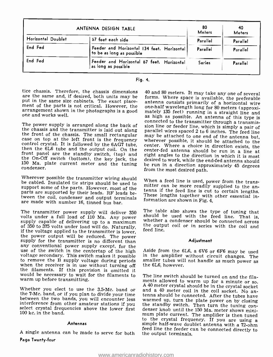|                    | ANTENNA DESIGN TABLE                                                      | 80<br>Meters | 40<br><b>Meters</b> |
|--------------------|---------------------------------------------------------------------------|--------------|---------------------|
| Horizontal Doublet | 57 feet each side                                                         | Parallel     | Parallel            |
| End Fed            | Feeder and Horizontal 134 feet. Horizontal<br>  to be as long as possible | Parallel     | Parallel            |
| End Fed            | Feeder and Horizontal 67 feet. Horizontal<br>as long as possible          | Series       | Parallel            |

| -те. |  |
|------|--|
|      |  |

tice chassis. Therefore, the chassis dimensions 40 and 80 meters. It may take any one of several are the same and, if desired, both units may be forms. Where space is available, the preferable put in the same size cabinets. The exact place-<br>ment of the parts is not critical. However, the one-half wavelength long for 80 meters (approxi-<br>arrangement shown in the photographs is a good mately 135 feet) running in a arrangement shown in the photographs is a good one and works well.

<sup>150</sup>Ma. plate current meter and the tuning condenser.

Wherever possible the transmitter wiring should be cabled. Insulated tie strips should be used to when a reed line is used, power from the trans-<br>sunport some of the parts. However, weat of the mitter can be more readily supplied to the ansupport some of the parts. However, most of the  $\frac{1}{100}$  tenna if the feed line is cut to certain lengths. parts are supported by their leads. RF leads beparts are supported by their reads. Ar reads be-<br>tween the coil, condenser and output terminals<br>are made with sumber 16 time of hun has formation are shown in Fig. 4. are made with number 16, tinned bus bar.

volts under a full load of 110 Ma. Any power should be used with the feed line. That is, supply capable of delivering up to a maximum of 350 to 375 volts under load will do. Naturally, <sup>the outp</sup> if the voltage applied to the transmitter is lower, <sup>feed line.</sup> the power output will be reduced. The power supply for the transmitter is no different than any conventional power supply except, for the<br>use of the switch in the centertap of the high<br>in the amplifier without circuit changes. The<br>voltage secondary. This switch makes it possible<br>to remove the B supply voltage du would be necessary to wait for the filaments to warm up before transmitting.

100 kc. in the band.

#### Antennas

Page Twenty -four

The power supply is arranged along the back of sion line or feeder line, which is simply a pair of sion ine chassis and the transmitter is laid out along parallel wires spaced 2 to 6 inches. The feed line the front of the one-half wavelength long for 80 meters (approximately 135 feet) running in a straight line and<br>as high as possible. An antenna of this type is desired to work, while the end-fed antenna should<br>be run in a direction approximately 45 degrees<br>from the most desired path.

When a feed line is used, power from the trans-

The transmitter power supply will deliver 350 The table also shows the type of tuning that volts under a full load of 110 Ma any nower should be used with the feed line. That is, the output coil or in series with the coil and

#### Adjustment

Aside from the 6L6, a 6V6 or 6F6 may be used

Whether you elect to use the 3.5-Mc. band or<br>A 40 meter crystal should be in the crystal socket<br>the 7-Mc. band, or if you plan to divide your time<br>between the two bands, you will encounter less<br>interference from other ama feed line the feeder can be connected directly to<br>A single antenna can be made to serve for both the output terminals, ments allowed to warm up for a minute or so. to the crystal frequency. If you are using a simple half-wave doublet antenna with a 72-ohm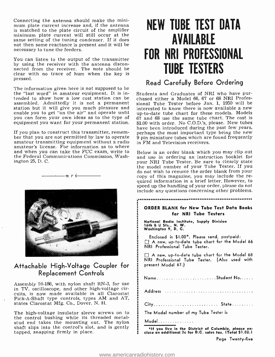Connecting the antenna should make the mini- mum plate current increase and, if the antenna minimum plate current will still occur at the same setting of the tuning condenser. If it does not then some reactance is present and it will be necessary to tune the feeders.

You can listen to the output of the transmitter by using the receiver with the antenna disconnected from the receiver. The note should be clear with no trace of hum when the key is pressed.

The information given here is not supposed to be the "last word" in amateur equipment. It is intended to show how a low cost station can be assembled. Admittedly it is not a permanent sional Tube Tester before Jan. 1, 1950 will be station but it will give you much pleasure and interested to know there is now available a new enable you to get "on the air" and operate until you can form your own ideas as to the type of equipment you want for your permanent station.

If you plan to construct this transmitter, remem- ber that you are not permitted by law to operate amateur transmitting equipment without a radio amateur's license. For information as to where and when you can take the FCC exam, write to the Federal Communications Commission, Washington 25, D. C.

 $-n$ ri



### Attachable High -Voltage Coupler for Replacement Controls

Assembly 59 -186, with nylon shaft RN -3, for use in TV, oscilloscope, and other high -voltage circuits, is now made available in all Clarostat Pick -A -Shaft type controls, types AM and AT, states Clarostat Mfg. Co., Dover, N. H.

The high-voltage insulator sleeve screws on to the control bushing while its threaded metal-<br>stud end takes the mounting nut. The nylon<br>shaft slips into the control's slot, and is gently<br>tapped, snapping firmly in place.

# NEW TUBE TEST DATA AVAILABLE FOR NRI PROFESSIONAL TUBE TESTERS

### Read Carefully Before Ordering

Students and Graduates of NRI who have purchased either a Model 66, 67 or 68 NRI Professional Tube Tester before Jan. 1, 1950 will be up-to-date tube chart for these models. Models 67 and 68 use the same tube chart. The cost is \$1.00 with order. No C.O.D.'s, please. New tubes have been introduced during the past few years, perhaps the most important type being the new 9 pin miniature tubes which are found frequently in FM and Television receivers.

Below is an order blank which you may clip out and use in ordering an instruction booklet for your NRI Tube Tester. Be sure to clearly state the model number of your Tube Tester. If you do not wish to remove the order blank from your copy of this magazine, you may include the re- quired information in a brief letter. However, to speed up the handling of your order, please do not include any questions concerning other problems.

#### 

#### ORDER BLANK for New Tube Test Data Books for NRI Tube Testers

National Radio Institute, Supply Division 16th & U Sts., N. W. Washington 9, D. C.

Enclosed is \$1.00\*. Please send, postpaid: A new, up -to -date tube chart for the Model 66 NRI Professional Tube Tester.

A new, up -to -date tube chart for the Model 68 NRI Professional Tube Tester. (Also used with present Model 67.)

| NameStudent No |  |  |  |  |  |  |  |  |  |  |  |  |  |  |  |  |  |
|----------------|--|--|--|--|--|--|--|--|--|--|--|--|--|--|--|--|--|
|                |  |  |  |  |  |  |  |  |  |  |  |  |  |  |  |  |  |

|  |  |  |  |  |  |  |  |  | City State |
|--|--|--|--|--|--|--|--|--|------------|

The Model number of my Tube Tester is

Model..........

\*If you live in the District of Columbia, please en- close an additional 2c for D.C. sales tax. (Total \$1.02.)

Page Twenty -five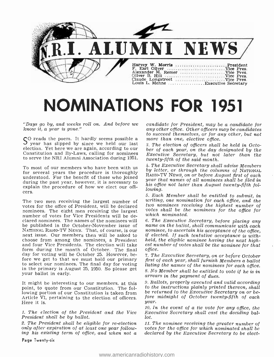

# NOMINATIONS FOR 1951

"Days go by, and weeks roll on. And before we know it, a year is gone."

 $S^{O}$  reads the poem. It hardly seems possible a *more than one, elective office.*<br>S year has slipped by since we held our last 3. The election of officers shall election. Yet here we are again, according to our Constitution and By -Laws, calling for nominees to serve the NRI Alumni Association during 1951.

To most of our members who have been with us for several years the procedure is thoroughly during the past year, however, it is necessary to explain the procedure of how we elect our officers.<br>The two men receiving the largest number of

votes for the office of President, will be declared nominees. The eight men receiving the largest number of votes for Vice Presidents will be declared nominees. The names of the nominees will  $\,$  6. The Executive Secretary, before placing any be published in the October-November issue of name on the ballot, shall communicate with each be published in the October-November issue of name on the ballot, shall communicate with each Narional Busines<br>National Rabio-TV News. That, of course, is our nominee, to ascertain his acceptance of the office, NATIONAL RADIO -TV NEWS. That, of course, is our next issue. Our members then will be asked to choose from among the nominees, a President held, the eligible nominee having the next highand four Vice Presidents. The election will take est number of votes shall be the nominee for that and four Vice Presidents. The election will take form during the month of October. The final office.<br>day for voting will be October 25. However, be- 7. The Executive Secretary, on or before October day for voting will be October 25. However, before we get to that we must hold our primary to select our nominees. The final day for voting  $line$  is ting the names of the nominees for each office. in the primary is August 25, 1950. So please get your ballot in early.

It might be interesting to our members, at this point, to quote from our Constitution. The following portion of our Constitution is taken from Article VI, pertaining to the election of officers. Here it is.

1. The election of the President and the Vice President shall be by ballot.

2. The President shall be eligible for re-election only after expiration of at least one year following his existing term of office, and when not a

Page Twenty-six

candidate for President, may be a candidate for any other office. Other officers may be candidates to succeed themselves, or for any other, but not

3. The election of officers shall be held in October of each year, on the day designated by the Executive Secretary, but not later than the twenty -fifth of the said month.

4. The Executive Secretary shall advise Members by letter, or through the columns of NATIONAL RADIO -TV NEWS, on or before August first of each year that names of all nominees shall be filed in his office not later than August twenty-fifth following.

5. Each Member shall be entitled to submit, in writing, one nomination for each office, and the two nominees receiving the highest number of votes shall be the nominees for the office for which nominated.

6. The Executive Secretary, before placing any if elected. If such tentative acceptance is withheld, the eligible nominee having the next highoffice.

first of each year, shall furnish Members a ballot 8. No Member shall be entitled to vote if he is in

arrears in the payment of dues.

9. Ballots, properly executed and valid according to the instructions plainly printed thereon, shall be returned to the Executive Secretary on or before midnight of October twenty -fifth of each year.

10. In the event of a tie vote for any office, the Executive Secretary shall cast the deciding ballot.

11. The nominee receiving the greater number of votes for the office for which nominated shall be declared by the Executive Secretary to be elect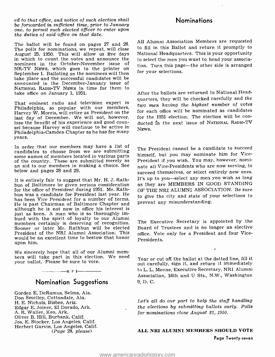ed to that office, and notice of such election shall be forwarded in sufficient time, prior to January one, to permit such elected officer to enter upon the duties of said office on that date.

The ballot will be found on pages 27 and 28. The polls for nominations, we repeat, will close August 25, 1950. This will allow us five days in which to count the votes and announce the nominees in the October -November issue of NR -TV NEws, which goes to the printer on September 1. Balloting on the nominees will then take place and the successful candidates will be announced in the December-January issue of<br>NATIONAL RADIO-TV NEWS in time for them to take office on January 1, 1951.

That eminent radio and television expert in Philadelphia, so popular with our members, Harvey W. Morris, will retire as President on the last day of December. We will not, however,<br>lose the benefit of his experience and good counsel because Harvey will continue to be active in Philadelphia- Camden Chapter as he has for many years.

In order that our members may have a list of candidates to choose from we are submitting<br>some names of members located in various parts<br>of the country. These are submitted merely as<br>President if you wish. You may, however, nomian aid to our members in making a choice. See below and pages 28 and 29.

It is entirely fair to suggest that Mr. H. J. Rathbun of Baltimore be given serious consideration for the office of President during 1951. Mr. Rathbun was a candidate for President last year. He has been Vice President for a number of terms. He is past Chairman of Baltimore Chapter and although he is not now in office his interest is just as keen. A man who is so thoroughly imbued with the spirit of loyalty to our Alumni members certainly is deserving of recognition. Sooner or later Mr. Rathbun will be elected President of the NRI Alumni Association. This would be an excellent time to bestow that honor upon him.

We sincerely hope that all of our Alumni mem- bers will take part in this election. We need your ballot. Please be sure to vote.

## $-\cdots$  r i  $-\cdots$ Nomination Suggestions

Gorden E. DeRamus, Selma, Ala. Don Smelley, Cottondale, Ala. H. E. Nichols, Bisbee, Ariz. Edgar E. Joiner, El Dorado, Ark. A. R. Waller, Keo, Ark. Oliver B. Hill, Burbank, Calif. Jos. E. Stocker, Los Angeles, Calif. Herbert Garvin, Los Angeles, Calif. (Page 28, please)

### **Nominations**

All Alumni Association Members are requested to fill in this Ballot and return it promptly to National Headquarters. This is your opportunity to select the men you want to head your association. Turn this page—the other side is arranged for your selections.

After the ballots are returned to National Headquarters, they will be checked carefully and the two men having the highest number of votes for each office will be nominated as candidates for the 1951 election. The election will be con ducted in the next issue of NATIONAL RADIO-TV NEWS.

The President cannot be a candidate to succeed President if you wish. You may, however, nominate all Vice-Presidents who are now serving, to<br>succeed themselves, or select entirely new ones. It's up to you-select any men you wish as long as they are MEMBERS IN GOOD STANDING OF THE NRI ALUMNI ASSOCIATION. Be sure to give the city and state of your selections to prevent any misunderstanding.

The Executive Secretary is appointed by the Board of Trustees and is no longer an elective office. Vote only for a President and four Vice-Presidents.

Tear or cut off the ballot at the dotted line, fill it out carefully, sign it, and return it immediately to L. L. Menne, Executive Secretary, NRI Alumni Association, 16th and U Sts., N.W., Washington 9, D. C.

Let's all do our part to help the staff handling the elections by submitting ballots early. Polls for nominations close August 25, 1950.

ALL NRI ALUMNI MEMBERS SHOULD VOTE Page Twenty -seven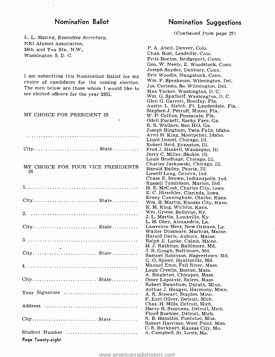L. L. MENNE, Executive Secretary, NRI Alumni Association, 16th and You Sts., N.W., Washington 9, D. C.

I am submitting this Nomination Ballot for my choice of candidates for the coming election. The men below are those whom I would like to see elected officers for the year 1951.

MY CHOICE FOR PRESIDENT IS

 $City \ldots \ldots \ldots \ldots \ldots \ldots \ldots \ldots \ldots \text{State} \ldots \ldots$ 

#### MY CHOICE FOR FOUR VICE PRESIDENTS IS

| $City \ldots \ldots \ldots \ldots \ldots \ldots \ldots \ldots \ldots \ldots \text{State} \ldots \ldots$ |
|---------------------------------------------------------------------------------------------------------|
|                                                                                                         |
|                                                                                                         |
|                                                                                                         |
|                                                                                                         |
| Your Signature                                                                                          |
|                                                                                                         |
|                                                                                                         |
| Student Number<br>Page Twenty-eight                                                                     |

## Nomination Ballot Nomination Suggestions

(Continued from page 27)

P. A. Abelt, Denver, Colo. Chas. Bost, Leadville, Colo. Fritz Boehm, Bridgeport, Conn. Geo. W. Neely, E. Woodstock, Conn. Joseph Snyder, Danbury, Conn. Eric Woodin, Naugatuck, Conn. Wm. F. Speakman, Wilmington, Del. Jos. Certesio, So. Wilmington, Del. Max Yacker, Washington, D. C. Wm. G. Spathelf, Washington, D. C. Glen G. Garrett, Bonifay, Fla. Austin L. Hatch, Ft. Lauderdale, Fla. Stephen J. Pdtruff, Miami, Fla. W. P. Collins, Pensacola, Fla. Odell Puckett, Rocky Face, Ga. R. R. Wallace, Ben Hill, Ga. Joseph Bingham, Twin Falls, Idaho. Arvil H. King, Montpelier, Idaho. Lloyd Immel, Chicago, Ill. Robert Reid, Evanston, Ill. Fred J. Haskell, Waukegan, Ill. Jerry C. Miller, Skokie, Ill. Louis Brodhage, Chicago, Ill. Charles Jackowski, Chicago, Ill. Harold Bailey, Peoria, Ill. Lowell Long, Geneva, Ind. Chase E. Brown, Indianapolis, Ind. Russell Tomlinson, Marion, Ind. H. E. McCosh, Charles City, Iowa. E. C. Hirschler, Clarinda, Iowa. Erney Cunningham, Olathe, Kans. Wm. B. Martin, Kansas City, Kans. K. M. King, Wichita, Kans. Wm. Griese, Bellevue, Ky. J. L. Martin, Louisville, Ky. L. H. Ober, Alexandria, La. Lawrence Merz, New Orleans, La. Walter Dinsmore, Machias, Maine. Harold Davis, Auburn, Maine. Ralph E. Locke, Calais, Maine. H. J. Rathbun, Baltimore, Md. J. B. Gough, Baltimore, Md. Samuel Robinson, Hagerstown, Md. G. O. Spicer, Hyattsville, Md. Manuel Enos, Fall River, Mass. Louis Crestin, Boston, Mass. A. Singleton, Chicopee, Mass. Omer Lapointe, Salem, Mass. Robert Swanbum, Duluth, Minn. Arthur J. Haugen, Harmony, Minn. A. R. Stewart, Staples, Minn. F. Earl Oliver, Detroit, Mich. Chas. H. Mills, Detroit, Mich. Harry R. Stephens, Detroit, Mich. Floyd Buehler, Detroit, Mich. R. B. Hamblin, Pontotoc, Miss. Robert Harrison, West Point, Miss. C. S. Burkhart, Kansas City, Mo. A. Campbell, St. Louis, Mo.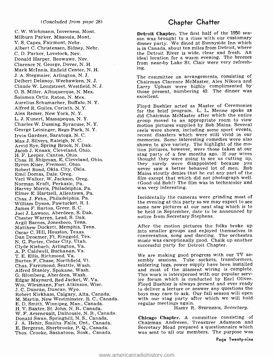C. W. Wichmann, Inverness, Mont. Milburn Parker, Missoula, Mont. V. S. Capes, Fairmont, Nebr. Albert C. Christensen, Sidney, Nebr. C. D. Parker, Lovelock, Nev. Donald Harper, Beowawe, Nev. Clarence N. George, Dover, N. H. Mark McInnis, Enfield Center, N. H. J. A. Stegmaier, Arlington, N. J. Delbert Delanoy, Weehawken, N. J. Claude W. Longstreet, Westfield, N. J. O. B. Miller, Albuquerque, N. Mex. Solomon Ortiz, Raton, N. Mex. Aurelius Schumacher, Buffalo, N. Y. Alfred R. Guiles, Corinth, N. Y. Alex Remer, New York, N. Y. L. J. Kunert, Massapequa, N. Y. Charles W. Dussing, Syracuse, N. Y. George Leininger, Rego Park, N. Y. Irvin Gardner, Saratoga, N. C. Max J. Silvers, Raleigh, N. C. Arvid Bye, Spring Brook, N. Dak. Jacob J. Knaak, Cleveland, Ohio. H. F. Leeper, Canton, Ohio. Chas. H. Shipman, E. Cleveland, Ohio. Byron Kiser, Fremont, Ohio. Robert Bond, Okla. City, Okla. Emil Domas, Dale, Oreg. Verl Walker, W. Jackson, Oreg. Norman Kraft, Perkasie, Pa. Harvey Morris, Philadelphia, Pa. Elmer E. Hartzell, Allentown, Pa. Chas. J. Fehn, Philadelphia, Pa. William Dyson, Pawtucket, R. I. James F. Barton, Greer, S. C. Joel J. Lawson, Aberdeen, S. Dak. Chester Warren, Lead, S. Dak. Argil Barnes, Jonesboro, Tenn. Matthew Duckett, Memphis, Tenn. Oscar C. Hill, Houston, Texas. Dan Droemer, Ft. Ringgold, Tex. N. G. Porter, Cedar City, Utah. Clyde Kiebach, Arlington, Va. A. P. Caldwell, Buchanan, Va. T. E. Ellis, Richmond, Va. Burton F. Chase, Northfield, Vt. Chas. Farrimond, Seattle, Wash. Alfred Stanley, Spokane, Wash. G. Blomberg, Aberdeen, Wash. Edgar Maynard, Red Jacket, W. Va. Wm. Wiesmann, Fort Atkinson, Wisc. J. C. Duncan, Duncan, Wyo. Robert Kirkham, Calgary, Alta, Canada. M. Martin, New Westminster, B. C., Canada. E. D. Smith, Winnipeg, Man., Canada. H. V. Baxter, St. John, N. B., Canada. W. F. Arseneualt, Dalhousie, N. B., Canada. Donald Swan, Springhill, N. S., Canada. J. A. Hehir, Smiths Falls, Ont., Canada. E. Bergeron, Sherbrooke, P. Q., Canada. Thos. Crooke, Saskatoon, Sask., Canada.

### Chapter Chatter

Detroit Chapter. The first half of the 1950 sea- son was brought to a close with our customary dinner party. We dined at Sunnyside Inn which is in Canada, about ten miles from Detroit, where the Detroit River is wide, clear and fresh. An ideal location for a warm evening. The breezes from near -by Lake St. Clair were very refreshing.

The committee on arrangements, consisting of Chairman Clarence McMaster, Alex Nikora and Larry Upham were highly complimented by those present, numbering 49. The dinner was excellent.

Floyd Buehler acted as Master of Ceremonies for the brief program. L. L. Menne spoke as did Chairman McMaster after which the entire group moved to an appropriate room to view motion pictures supplied by Bob Mains. Several reels were shown, including some sport events, memories. Some interesting comedies were also shown to give variety. The highlight of the mo-<br>tion pictures, however, were those taken at our<br>stag party of a few months ago. If our wives thought they were going to see us cutting up,<br>they surely were disappointed because you never saw a better behaved lot of men. Bob Mains stoutly denies that he cut any part of the film except that which did not photograph well. (Good old Bob!) The film was in technicolor and was very interesting.

Incidentally the cameras were grinding most of the evening at this party so we may expect to see some new pictures at our next stag which is to be held in September, date to be announced by notice from Secretary Stephens.

After the motion pictures the folks broke up into smaller groups and enjoyed themselves in conversation, song and dancing. The orchestra music was exceptionally good. Chalk up another successful party for Detroit Chapter.

We are making good progress with our TV assembly sessions. Tube sockets, transformers, soldering lugs, power supply have been installed and most of the filament wiring is complete. This work is interspersed with our popular serv- ice forum which is conducted by Earl Oliver. Floyd Buehler is always present and ever ready to deliver a lecture or answer any questions the boys may care to ask. Our fall season will open with our stag party after which we will hold<br>regular meetings again.

HARRY R. STEPHENS, Secretary.

Chicago Chapter. A committee consisting of Chairman Andresen, Treasurer Adamson and Secretary Mead prepared a questionnaire which was sent to all our members. The purpose was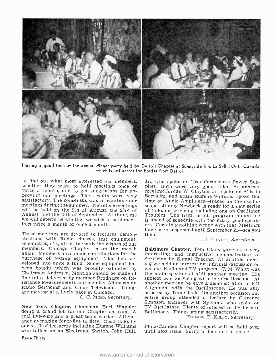

Having a good time at the annual dinner party held by Detroit Chapter at Sunnyside Inn, La Salle, Ont., Canada, which is just across the border from Detroit.

to find out what most interested our members, whether they want to hold meetings once or twice a month, and to get suggestions for imsatisfactory. The consensus was to continue our meetings during the summer. Therefore meetings will be held on the 9th of At :gust, the 23rd of 11 At :gust, and the 13th of September. At that time we will determine whether we wish to hold meetings twice a month or once a month.

These meetings are devoted to lectures, demon-These meetings are devoted to lectures, demontions with Radio chassis, test equipment, schematics, etc., all in line with the wishes of our<br>schematics, etc., all in line with the wishes of our<br>members. Chicago Chapter is o again. Members have made contributions for the purchase of testing equipment. This has developed into quite a fund. Some equipment has ing we held an interesting informal discussion on been bought which was proudly exhibited by various Radio and TV subjects. C. M. Whitt was been bought which was proudly exhibited by various Radio and TV subjects. C. M. Whitt was<br>Chairman Andresen. Mention should be made of the main speaker at still another meeting. His fine talks delivered by member Brodhage on Resistance Measurements and member Adamson on another meeting he gave a demonstration of FM<br>Radio Servicing and Color Television. Things Alignment with the Oscilloscope. He was ably<br>are moving at a lively pace in Chicago. as are moving at a lively pace in Chicago.

New York Chapter. Chairman Bert Wappler doing a grand job for our Chapter as usual. A real live-wire and a great team worker. Attendance averaging forty-five to fifty. Good talks by<br>our staff of lecturers including Eugene Williams Phila-Camden Chapter report will be held over who talked on an Electronic Switch, John Hull,

Page Thirty

Jr., who spoke on Transformerless Power Sup- plies. Both were very good talks. At another meeting Jordan W. Clayton, Jr., spoke on Aids to Servicing and again Eugene Williams spoke this time on Audio Amplifiers-traced on the oscilloscope. Jimmy Newbeck is ready for a new series of talks on servicing including one on Oscillator Troubles. The truth is our program committee is ahead of schedule with too many good speakers. Certainly nothing wrong with that. Meetings<br>have been suspended until September 21—see you

#### L. J. KuNERT, Secretary.

C. C. MEAD, Secretary. entire group attended a lecture by Clarence<br>Simpson, engineer with Sylvania who spoke on Baltimore Chapter. Tom Clark gave us a very Servicing by Signal Tracing. At another meetsubject was Servicing with the Oscilloscope. At another meeting he gave a demonstration of FM entire group attended a lecture by Clarence TV Oscillators. Plenty of interest in TV here in Baltimore. Things going satisfactorily.

THOMAS P. KELLY, Secretary.

until next issue. Sorry to be short of space.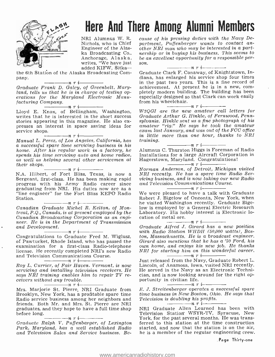

# Here And There Among Alumni Members

Nichols, who is Chief Engineer of the Alaska Broadcasting Co., Anchorage, Alaska,  $be a$ <br>writes. "We have just son. writes, "We have just added KIFW, Sitka-

the 6th Station of the Alaska Broadcasting Company.

 $-\cdots$ nri Graduate Frank D. Galey, of Greenbelt, Maryland, tells us that he is in charge of testing op-<br>erations for the Maryland Electronic Manufacturing Company. nri

Lloyd E. Knox, of Bellingham, Washington, W3QGI are the new amateur call letters for writes that he is interested in the short success are are a stories appearing in this magazine. He also ex-<br>sylvania. Hinkle sent us a f

 $s = \frac{n}{1 - n}$  r i  $\frac{n}{1 - n}$  manual L. Perez, of Los Angeles, California, has Manual L. Perez, of Los Angeles, California, has training.<br>a successful spare time servicing business in his home. After his regular work in a factory, he spends his time servicing auto and home radios,<br>as well as helping several other servicemen at<br>their shops. their shops.  $\frac{n}{n}$   $\frac{n}{n}$   $\frac{n}{n}$ 

N.A. Hilbert, of Fort Bliss, Texas, is now a  $N1$ <br>Sergeant, first-class. He has been making rapid *vi*d Sergeant, first-class. He has been making rapid progress with his Army Radio career since graduating from NRI. His duties now are as a "line engineer" for the Fort Bliss KEPO Radio

Station.<br>
Station.<br>
Canadian Graduate Michel R. Kelton, of Montreal, P.Q., Canada, is at present employed by the Canadian Broadcasting Corporation as an engi- neer. He is in the Department of Transmission and Development.<br>  $\frac{1}{\sqrt{1-\frac{1}{n}}}\frac{1}{\sqrt{n}}$ 

examination for a first -class Radio -telephone license. He recently completed NRI's new Radio and Television Communications Course.<br>  $\frac{1}{\sqrt{1-\frac{1}{n}}}\prod_{i=1}^{n}$ 

Roy L. Currier, of Fair Haven, Vermont, is now servicing and installing television receivers. He says NRI training enables him to repair TV receivers without any trouble.<br> $\frac{m}{1-\cdots}$  n r i

Mrs. Marjorie St. Pierre, NRI Graduate from E.J. Streitenberger operates a successful spare<br>Brooklyn, New York, has a profitable spare time time business in New Boston, Ohio. He says that Brooklyn, New York, has a profitable spare time Radio service business among her neighbors and friends. Both Mr. and Mrs. St. Pierre are NRI graduates, and they hope to have a full time shop<br>before long.<br> $\frac{1}{2}$   $\frac{1}{2}$   $\frac{1}{2}$   $\frac{1}{2}$   $\frac{1}{2}$   $\frac{1}{2}$   $\frac{1}{2}$   $\frac{1}{2}$   $\frac{1}{2}$   $\frac{1}{2}$   $\frac{1}{2}$   $\frac{1}{2}$   $\frac{1}{2}$   $\frac{1}{2}$   $\frac{1}{2}$   $\frac{1}{2}$ 

Graduate Ralph V. Puffenbarger, of Lexington<br>Park, Maryland, has a well established Radio and Television Sales and Service business. Be-

NRI Alumnus W. R. cause of his pressing duties with the Navy De-<br>Nichols, who is Chief partment, Puffenbarger wants to contact ancause of his pressing duties with the Navy Deother NRI man who may be interested in a partnership or in buying his business. This seems to be an excellent opportunity for a responsible per- son. nri

Graduate Clark F. Conaway, of Knightstown, Indiana, has enlarged his service shop four times in the past two years. This is a fine record of<br>achievement. At present he is in a new, completely modern building. The building has been especially designed so that Clark can work easily from his wheelchair.<br> $\frac{n}{r}$   $\frac{n}{r}$ 

W3QGI are the new amateur call letters for Graduate Arthur G. Hinkle, of Fernwood, Pennsylvania. Hinkle sent us a fine photograph of his exam last January, and was out of the FCC office in little more than one hour, thanks to NRI

 $\frac{\ }{1\ }$ n r i $\frac{\ }{1\ }$ Alumnus C. Thurston Higgs is Foreman of Radio Installations for a large Aircraft Corporation in Hagerstown, Maryland. Congratulations!

Norman Anderson, of Detroit, Michigan visited NRI recently. He has a spare time Radio Servicing business, and is now taking our new Radio

and Television Communications Course.<br>  $\frac{1}{\sqrt{1-\frac{1}{n}}}\prod_{i=1}^{n}$ We were pleased to have a talk with Graduate Robert J. Bigelow of Oneonta, New York, when he visited Washington recently. Graduate Bigelow is employed by a General Electric Research Laboratory. His hobby interest is Electronic lo-

Congratulations to Graduate Fred M. Wiglusz, ton, Massachusetts. He is a broadcast engineer. of Pawtucket, Rhode Island, who has passed the Girard also mentions that he has a '50 Ford, his<br>examination for a first-class Radio-telephone own home, and enjoys his new job. He thanks cation of metal ore.<br> $\frac{1}{1-x}$   $\frac{1}{1-x}$   $\frac{1}{1-x}$ Graduate Alfred J. Girard has a new position with Radio Station WHDH (50,000 watts), Bos-Girard also mentions that he has a '50 Ford, his NRI for starting him on this wonderful career.<br>  $\frac{m}{1-r}$  i

Just released from the Navy, Graduate Robert L. Lincoln, of Anamosa, Iowa, visited NRI recently. He served in the Navy as an Electronic Technician, and is now looking around for the right opportunity in civilian life. nri

E. J. Streitenberger operates a successful spare Television is doubling his profits.<br> $\frac{1}{1-\frac{1}{1-\frac{1}{1-\frac{1}{1-\frac{1}{1-\frac{1}{1-\frac{1}{1-\frac{1}{1-\frac{1}{1-\frac{1}{1-\frac{1}{1-\frac{1}{1-\frac{1}{1-\frac{1}{1-\frac{1}{1-\frac{1}{1-\frac{1}{1-\frac{1}{1-\frac{1}{1-\frac{1}{1-\frac{1}{1-\frac{1}{1-\frac{1}{1-\frac{1}{1-\frac{1}{1-\frac{1}{1-\frac{1}{1-\frac{1}{1-\frac{1}{1-\frac{1}{1-\frac{1$ 

NRI Graduate Allen Learned has been with Television Station- WSYR -TV, Syracuse, New York, for the past several months. He was transferred to this station at the time construction started, and now that the station is on the air, he is a member of the regular engineering crew.